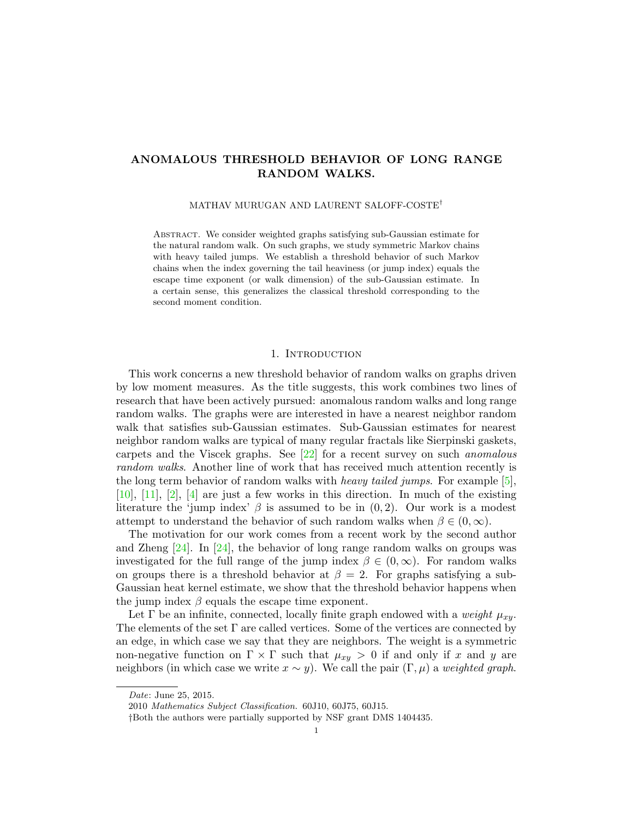# ANOMALOUS THRESHOLD BEHAVIOR OF LONG RANGE RANDOM WALKS.

MATHAV MURUGAN AND LAURENT SALOFF-COSTE†

Abstract. We consider weighted graphs satisfying sub-Gaussian estimate for the natural random walk. On such graphs, we study symmetric Markov chains with heavy tailed jumps. We establish a threshold behavior of such Markov chains when the index governing the tail heaviness (or jump index) equals the escape time exponent (or walk dimension) of the sub-Gaussian estimate. In a certain sense, this generalizes the classical threshold corresponding to the second moment condition.

#### 1. INTRODUCTION

This work concerns a new threshold behavior of random walks on graphs driven by low moment measures. As the title suggests, this work combines two lines of research that have been actively pursued: anomalous random walks and long range random walks. The graphs were are interested in have a nearest neighbor random walk that satisfies sub-Gaussian estimates. Sub-Gaussian estimates for nearest neighbor random walks are typical of many regular fractals like Sierpinski gaskets, carpets and the Viscek graphs. See  $[22]$  for a recent survey on such *anomalous* random walks. Another line of work that has received much attention recently is the long term behavior of random walks with *heavy tailed jumps*. For example [\[5\]](#page-22-1), [\[10\]](#page-22-2), [\[11\]](#page-22-3), [\[2\]](#page-22-4), [\[4\]](#page-22-5) are just a few works in this direction. In much of the existing literature the 'jump index'  $\beta$  is assumed to be in  $(0, 2)$ . Our work is a modest attempt to understand the behavior of such random walks when  $\beta \in (0,\infty)$ .

The motivation for our work comes from a recent work by the second author and Zheng  $[24]$ . In  $[24]$ , the behavior of long range random walks on groups was investigated for the full range of the jump index  $\beta \in (0,\infty)$ . For random walks on groups there is a threshold behavior at  $\beta = 2$ . For graphs satisfying a sub-Gaussian heat kernel estimate, we show that the threshold behavior happens when the jump index  $\beta$  equals the escape time exponent.

Let  $\Gamma$  be an infinite, connected, locally finite graph endowed with a *weight*  $\mu_{xy}$ . The elements of the set  $\Gamma$  are called vertices. Some of the vertices are connected by an edge, in which case we say that they are neighbors. The weight is a symmetric non-negative function on  $\Gamma \times \Gamma$  such that  $\mu_{xy} > 0$  if and only if x and y are neighbors (in which case we write  $x \sim y$ ). We call the pair  $(\Gamma, \mu)$  a *weighted graph*.

Date: June 25, 2015.

<sup>2010</sup> Mathematics Subject Classification. 60J10, 60J75, 60J15.

<sup>†</sup>Both the authors were partially supported by NSF grant DMS 1404435.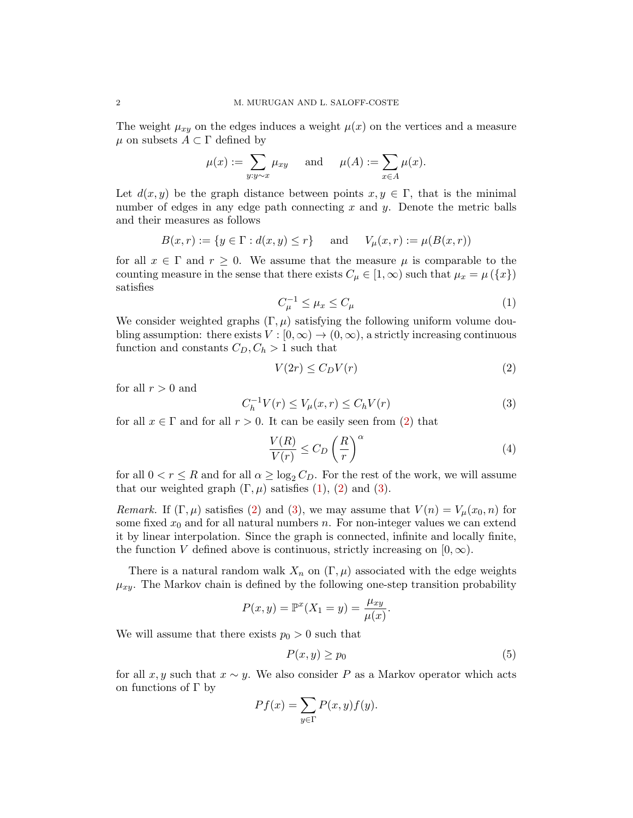The weight  $\mu_{xy}$  on the edges induces a weight  $\mu(x)$  on the vertices and a measure  $\mu$  on subsets  $A \subset \Gamma$  defined by

$$
\mu(x) := \sum_{y:y\sim x} \mu_{xy}
$$
 and  $\mu(A) := \sum_{x\in A} \mu(x).$ 

Let  $d(x, y)$  be the graph distance between points  $x, y \in \Gamma$ , that is the minimal number of edges in any edge path connecting  $x$  and  $y$ . Denote the metric balls and their measures as follows

$$
B(x,r) := \{ y \in \Gamma : d(x,y) \le r \}
$$
 and  $V_{\mu}(x,r) := \mu(B(x,r))$ 

for all  $x \in \Gamma$  and  $r \geq 0$ . We assume that the measure  $\mu$  is comparable to the counting measure in the sense that there exists  $C_{\mu} \in [1, \infty)$  such that  $\mu_x = \mu(\lbrace x \rbrace)$ satisfies

<span id="page-1-1"></span>
$$
C_{\mu}^{-1} \le \mu_x \le C_{\mu} \tag{1}
$$

We consider weighted graphs  $(\Gamma, \mu)$  satisfying the following uniform volume doubling assumption: there exists  $V : [0, \infty) \to (0, \infty)$ , a strictly increasing continuous function and constants  $C_D, C_h > 1$  such that

<span id="page-1-0"></span>
$$
V(2r) \le C_D V(r) \tag{2}
$$

for all  $r > 0$  and

<span id="page-1-2"></span>
$$
C_h^{-1}V(r) \le V_\mu(x,r) \le C_hV(r) \tag{3}
$$

for all  $x \in \Gamma$  and for all  $r > 0$ . It can be easily seen from [\(2\)](#page-1-0) that

<span id="page-1-4"></span>
$$
\frac{V(R)}{V(r)} \le C_D \left(\frac{R}{r}\right)^{\alpha} \tag{4}
$$

for all  $0 < r \leq R$  and for all  $\alpha \geq \log_2 C_D$ . For the rest of the work, we will assume that our weighted graph  $(\Gamma, \mu)$  satisfies  $(1)$ ,  $(2)$  and  $(3)$ .

Remark. If  $(\Gamma, \mu)$  satisfies [\(2\)](#page-1-0) and [\(3\)](#page-1-2), we may assume that  $V(n) = V_{\mu}(x_0, n)$  for some fixed  $x_0$  and for all natural numbers n. For non-integer values we can extend it by linear interpolation. Since the graph is connected, infinite and locally finite, the function V defined above is continuous, strictly increasing on  $[0, \infty)$ .

There is a natural random walk  $X_n$  on  $(\Gamma, \mu)$  associated with the edge weights  $\mu_{xy}$ . The Markov chain is defined by the following one-step transition probability

$$
P(x,y) = \mathbb{P}^x(X_1 = y) = \frac{\mu_{xy}}{\mu(x)}.
$$

We will assume that there exists  $p_0 > 0$  such that

<span id="page-1-3"></span>
$$
P(x, y) \ge p_0 \tag{5}
$$

for all x, y such that  $x \sim y$ . We also consider P as a Markov operator which acts on functions of  $\Gamma$  by

$$
Pf(x) = \sum_{y \in \Gamma} P(x, y) f(y).
$$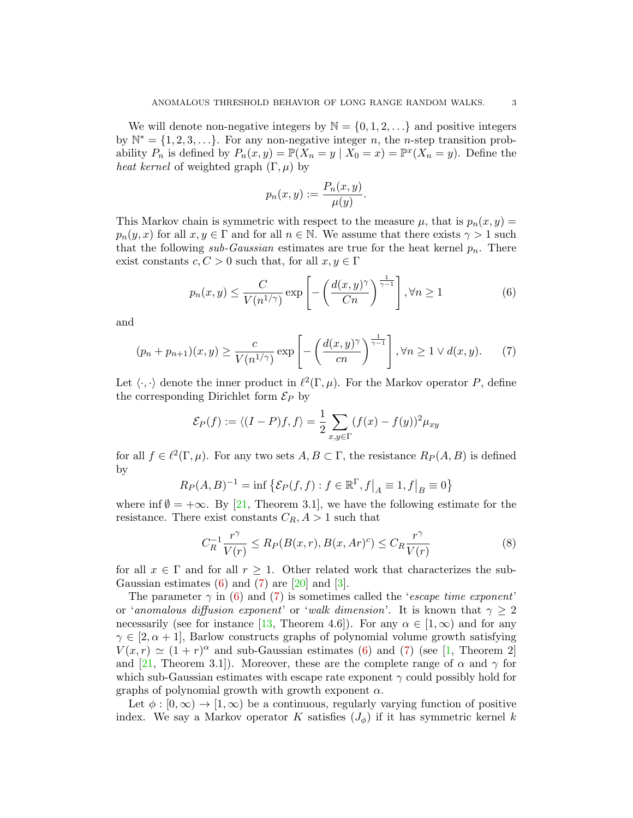We will denote non-negative integers by  $\mathbb{N} = \{0, 1, 2, \ldots\}$  and positive integers by  $\mathbb{N}^* = \{1, 2, 3, \ldots\}$ . For any non-negative integer n, the n-step transition probability  $P_n$  is defined by  $P_n(x, y) = \mathbb{P}(X_n = y \mid X_0 = x) = \mathbb{P}^x(X_n = y)$ . Define the heat kernel of weighted graph  $(\Gamma, \mu)$  by

$$
p_n(x, y) := \frac{P_n(x, y)}{\mu(y)}.
$$

This Markov chain is symmetric with respect to the measure  $\mu$ , that is  $p_n(x, y) =$  $p_n(y, x)$  for all  $x, y \in \Gamma$  and for all  $n \in \mathbb{N}$ . We assume that there exists  $\gamma > 1$  such that the following sub-Gaussian estimates are true for the heat kernel  $p_n$ . There exist constants  $c, C > 0$  such that, for all  $x, y \in \Gamma$ 

<span id="page-2-0"></span>
$$
p_n(x,y) \le \frac{C}{V(n^{1/\gamma})} \exp\left[-\left(\frac{d(x,y)^\gamma}{Cn}\right)^{\frac{1}{\gamma-1}}\right], \forall n \ge 1
$$
 (6)

and

<span id="page-2-1"></span>
$$
(p_n + p_{n+1})(x, y) \ge \frac{c}{V(n^{1/\gamma})} \exp\left[-\left(\frac{d(x, y)^\gamma}{cn}\right)^{\frac{1}{\gamma - 1}}\right], \forall n \ge 1 \lor d(x, y). \tag{7}
$$

Let  $\langle \cdot, \cdot \rangle$  denote the inner product in  $\ell^2(\Gamma, \mu)$ . For the Markov operator P, define the corresponding Dirichlet form  $\mathcal{E}_P$  by

$$
\mathcal{E}_P(f) := \langle (I - P)f, f \rangle = \frac{1}{2} \sum_{x, y \in \Gamma} (f(x) - f(y))^2 \mu_{xy}
$$

for all  $f \in \ell^2(\Gamma, \mu)$ . For any two sets  $A, B \subset \Gamma$ , the resistance  $R_P(A, B)$  is defined by

$$
R_P(A, B)^{-1} = \inf \{ \mathcal{E}_P(f, f) : f \in \mathbb{R}^{\Gamma}, f \big|_A \equiv 1, f \big|_B \equiv 0 \}
$$

where inf  $\emptyset = +\infty$ . By [\[21,](#page-22-6) Theorem 3.1], we have the following estimate for the resistance. There exist constants  $C_R$ ,  $A > 1$  such that

<span id="page-2-2"></span>
$$
C_R^{-1} \frac{r^{\gamma}}{V(r)} \le R_P(B(x, r), B(x, Ar)^c) \le C_R \frac{r^{\gamma}}{V(r)}
$$
\n
$$
(8)
$$

for all  $x \in \Gamma$  and for all  $r \geq 1$ . Other related work that characterizes the sub-Gaussian estimates  $(6)$  and  $(7)$  are  $\lbrack 20]$  and  $\lbrack 3]$ .

The parameter  $\gamma$  in [\(6\)](#page-2-0) and [\(7\)](#page-2-1) is sometimes called the 'escape time exponent' or 'anomalous diffusion exponent' or 'walk dimension'. It is known that  $\gamma \geq 2$ necessarily (see for instance [\[13,](#page-22-9) Theorem 4.6]). For any  $\alpha \in [1,\infty)$  and for any  $\gamma \in [2, \alpha + 1]$ , Barlow constructs graphs of polynomial volume growth satisfying  $V(x,r) \simeq (1+r)^{\alpha}$  and sub-Gaussian estimates [\(6\)](#page-2-0) and [\(7\)](#page-2-1) (see [\[1,](#page-22-10) Theorem 2] and [\[21,](#page-22-6) Theorem 3.1]). Moreover, these are the complete range of  $\alpha$  and  $\gamma$  for which sub-Gaussian estimates with escape rate exponent  $\gamma$  could possibly hold for graphs of polynomial growth with growth exponent  $\alpha$ .

Let  $\phi : [0, \infty) \to [1, \infty)$  be a continuous, regularly varying function of positive index. We say a Markov operator K satisfies  $(J_{\phi})$  if it has symmetric kernel k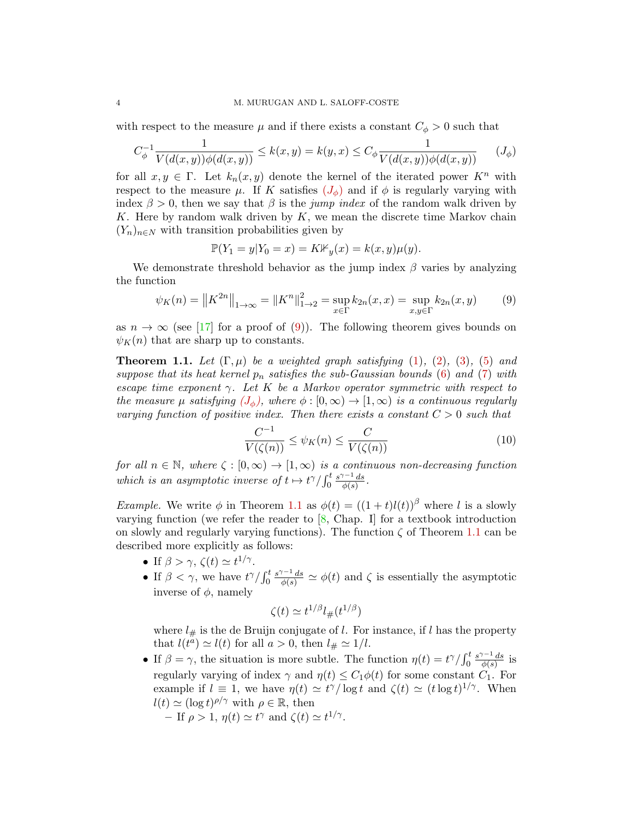with respect to the measure  $\mu$  and if there exists a constant  $C_{\phi} > 0$  such that

<span id="page-3-1"></span>
$$
C_{\phi}^{-1} \frac{1}{V(d(x, y))\phi(d(x, y))} \le k(x, y) = k(y, x) \le C_{\phi} \frac{1}{V(d(x, y))\phi(d(x, y))} \qquad (J_{\phi})
$$

for all  $x, y \in \Gamma$ . Let  $k_n(x, y)$  denote the kernel of the iterated power  $K^n$  with respect to the measure  $\mu$ . If K satisfies  $(J_{\phi})$  $(J_{\phi})$  $(J_{\phi})$  and if  $\phi$  is regularly varying with index  $\beta > 0$ , then we say that  $\beta$  is the *jump index* of the random walk driven by K. Here by random walk driven by  $K$ , we mean the discrete time Markov chain  $(Y_n)_{n\in\mathbb{N}}$  with transition probabilities given by

<span id="page-3-0"></span>
$$
\mathbb{P}(Y_1 = y | Y_0 = x) = K \mathbb{1}_{y}(x) = k(x, y)\mu(y).
$$

We demonstrate threshold behavior as the jump index  $\beta$  varies by analyzing the function

$$
\psi_K(n) = \|K^{2n}\|_{1 \to \infty} = \|K^n\|_{1 \to 2}^2 = \sup_{x \in \Gamma} k_{2n}(x, x) = \sup_{x, y \in \Gamma} k_{2n}(x, y) \tag{9}
$$

as  $n \to \infty$  (see [\[17\]](#page-22-11) for a proof of [\(9\)](#page-3-1)). The following theorem gives bounds on  $\psi_K(n)$  that are sharp up to constants.

<span id="page-3-2"></span>**Theorem 1.1.** Let  $(\Gamma, \mu)$  be a weighted graph satisfying [\(1\)](#page-1-1), [\(2\)](#page-1-0), [\(3\)](#page-1-2), [\(5\)](#page-1-3) and suppose that its heat kernel  $p_n$  satisfies the sub-Gaussian bounds [\(6\)](#page-2-0) and [\(7\)](#page-2-1) with escape time exponent  $\gamma$ . Let K be a Markov operator symmetric with respect to the measure  $\mu$  satisfying  $(J_{\phi})$  $(J_{\phi})$  $(J_{\phi})$ , where  $\phi : [0, \infty) \to [1, \infty)$  is a continuous regularly varying function of positive index. Then there exists a constant  $C > 0$  such that

<span id="page-3-3"></span>
$$
\frac{C^{-1}}{V(\zeta(n))} \le \psi_K(n) \le \frac{C}{V(\zeta(n))}
$$
\n(10)

for all  $n \in \mathbb{N}$ , where  $\zeta : [0, \infty) \to [1, \infty)$  is a continuous non-decreasing function which is an asymptotic inverse of  $t \mapsto t^{\gamma}/\int_0^t$  $s^{\gamma-1}$  ds  $\frac{e^{-x}ds}{\phi(s)}$ .

*Example.* We write  $\phi$  in Theorem [1.1](#page-3-2) as  $\phi(t) = ((1 + t)l(t))^{\beta}$  where l is a slowly varying function (we refer the reader to  $[8,$  Chap. I] for a textbook introduction on slowly and regularly varying functions). The function  $\zeta$  of Theorem [1.1](#page-3-2) can be described more explicitly as follows:

- If  $\beta > \gamma$ ,  $\zeta(t) \simeq t^{1/\gamma}$ .
- If  $\beta < \gamma$ , we have  $t^{\gamma}/\int_0^t$  $\frac{s^{\gamma-1}ds}{\phi(s)} \simeq \phi(t)$  and  $\zeta$  is essentially the asymptotic inverse of  $\phi$ , namely

$$
\zeta(t) \simeq t^{1/\beta} l_{\#}(t^{1/\beta})
$$

where  $l_{\#}$  is the de Bruijn conjugate of l. For instance, if l has the property that  $l(t^{a}) \simeq l(t)$  for all  $a > 0$ , then  $l_{\#} \simeq 1/l$ .

- If  $\beta = \gamma$ , the situation is more subtle. The function  $\eta(t) = t^{\gamma}/\int_0^t$  $s^{\gamma-1}$  ds  $\frac{a^{r-1}ds}{\phi(s)}$  is regularly varying of index  $\gamma$  and  $\eta(t) \leq C_1 \phi(t)$  for some constant  $C_1$ . For example if  $l \equiv 1$ , we have  $\eta(t) \simeq t^{\gamma}/\log t$  and  $\zeta(t) \simeq (t \log t)^{1/\gamma}$ . When  $l(t) \simeq (\log t)^{\rho/\gamma}$  with  $\rho \in \mathbb{R}$ , then
	- If  $\rho > 1$ ,  $\eta(t) \simeq t^{\gamma}$  and  $\zeta(t) \simeq t^{1/\gamma}$ .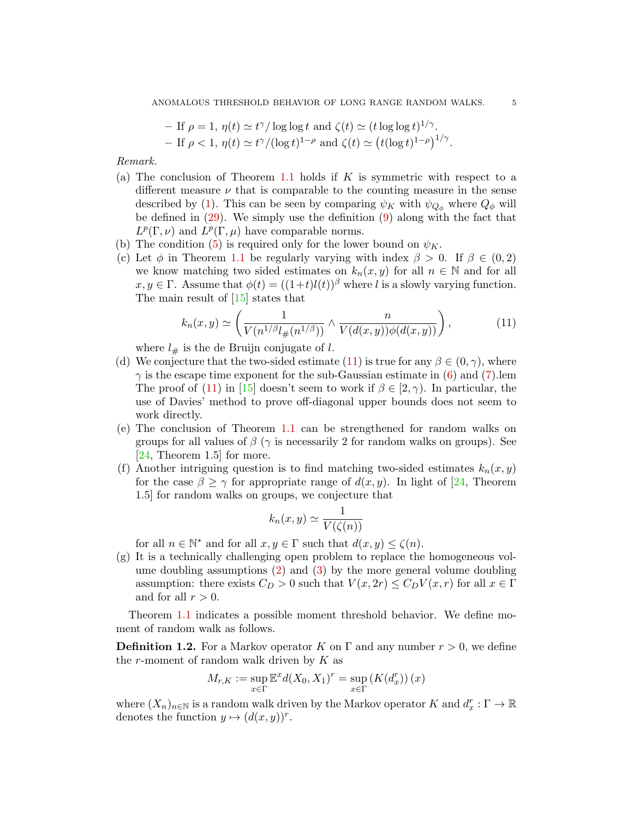\n- \n
$$
- \text{ If } \rho = 1, \eta(t) \simeq t^{\gamma} / \log \log t \text{ and } \zeta(t) \simeq (t \log \log t)^{1/\gamma}.
$$
\n
\n- \n
$$
- \text{ If } \rho < 1, \eta(t) \simeq t^{\gamma} / (\log t)^{1-\rho} \text{ and } \zeta(t) \simeq (t(\log t)^{1-\rho})^{1/\gamma}.
$$
\n
\n

Remark.

- (a) The conclusion of Theorem [1.1](#page-3-2) holds if K is symmetric with respect to a different measure  $\nu$  that is comparable to the counting measure in the sense described by [\(1\)](#page-1-1). This can be seen by comparing  $\psi_K$  with  $\psi_{Q_{\phi}}$  where  $Q_{\phi}$  will be defined in  $(29)$ . We simply use the definition  $(9)$  along with the fact that  $L^p(\Gamma,\nu)$  and  $L^p(\Gamma,\mu)$  have comparable norms.
- (b) The condition [\(5\)](#page-1-3) is required only for the lower bound on  $\psi_K$ .
- (c) Let  $\phi$  in Theorem [1.1](#page-3-2) be regularly varying with index  $\beta > 0$ . If  $\beta \in (0, 2)$ we know matching two sided estimates on  $k_n(x, y)$  for all  $n \in \mathbb{N}$  and for all  $x, y \in \Gamma$ . Assume that  $\phi(t) = ((1+t)l(t))^{\beta}$  where l is a slowly varying function. The main result of [\[15\]](#page-22-13) states that

<span id="page-4-0"></span>
$$
k_n(x,y) \simeq \left(\frac{1}{V(n^{1/\beta}l_{\#}(n^{1/\beta}))} \wedge \frac{n}{V(d(x,y))\phi(d(x,y))}\right),\tag{11}
$$

where  $l_{\#}$  is the de Bruijn conjugate of l.

- (d) We conjecture that the two-sided estimate [\(11\)](#page-4-0) is true for any  $\beta \in (0, \gamma)$ , where  $\gamma$  is the escape time exponent for the sub-Gaussian estimate in [\(6\)](#page-2-0) and [\(7\)](#page-2-1). The proof of [\(11\)](#page-4-0) in [\[15\]](#page-22-13) doesn't seem to work if  $\beta \in [2, \gamma)$ . In particular, the use of Davies' method to prove off-diagonal upper bounds does not seem to work directly.
- (e) The conclusion of Theorem [1.1](#page-3-2) can be strengthened for random walks on groups for all values of  $\beta$  ( $\gamma$  is necessarily 2 for random walks on groups). See [\[24,](#page-23-0) Theorem 1.5] for more.
- (f) Another intriguing question is to find matching two-sided estimates  $k_n(x, y)$ for the case  $\beta \geq \gamma$  for appropriate range of  $d(x, y)$ . In light of [\[24,](#page-23-0) Theorem 1.5] for random walks on groups, we conjecture that

$$
k_n(x, y) \simeq \frac{1}{V(\zeta(n))}
$$

for all  $n \in \mathbb{N}^*$  and for all  $x, y \in \Gamma$  such that  $d(x, y) \leq \zeta(n)$ .

(g) It is a technically challenging open problem to replace the homogeneous volume doubling assumptions [\(2\)](#page-1-0) and [\(3\)](#page-1-2) by the more general volume doubling assumption: there exists  $C_D > 0$  such that  $V(x, 2r) \leq C_D V(x, r)$  for all  $x \in \Gamma$ and for all  $r > 0$ .

Theorem [1.1](#page-3-2) indicates a possible moment threshold behavior. We define moment of random walk as follows.

**Definition 1.2.** For a Markov operator K on  $\Gamma$  and any number  $r > 0$ , we define the r-moment of random walk driven by  $K$  as

$$
M_{r,K} := \sup_{x \in \Gamma} \mathbb{E}^x d(X_0, X_1)^r = \sup_{x \in \Gamma} (K(d_x^r)) (x)
$$

where  $(X_n)_{n\in\mathbb{N}}$  is a random walk driven by the Markov operator K and  $d_x^r : \Gamma \to \mathbb{R}$ denotes the function  $y \mapsto (d(x, y))^r$ .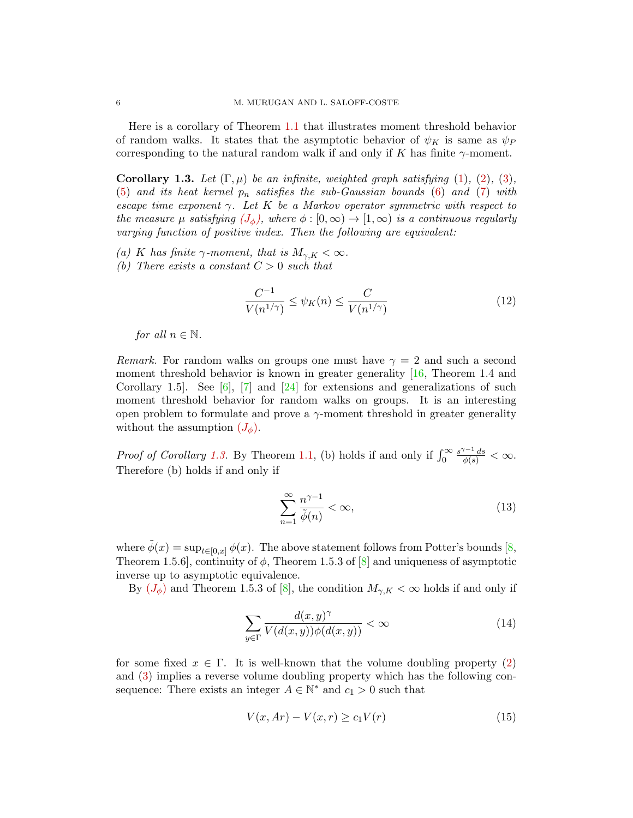Here is a corollary of Theorem [1.1](#page-3-2) that illustrates moment threshold behavior of random walks. It states that the asymptotic behavior of  $\psi_K$  is same as  $\psi_P$ corresponding to the natural random walk if and only if K has finite  $\gamma$ -moment.

<span id="page-5-0"></span>**Corollary 1.3.** Let  $(\Gamma, \mu)$  be an infinite, weighted graph satisfying  $(1), (2), (3),$  $(1), (2), (3),$  $(1), (2), (3),$  $(1), (2), (3),$  $(1), (2), (3),$  $(1), (2), (3),$ [\(5\)](#page-1-3) and its heat kernel  $p_n$  satisfies the sub-Gaussian bounds [\(6\)](#page-2-0) and [\(7\)](#page-2-1) with escape time exponent  $\gamma$ . Let K be a Markov operator symmetric with respect to the measure  $\mu$  satisfying  $(J_{\phi})$  $(J_{\phi})$  $(J_{\phi})$ , where  $\phi : [0, \infty) \to [1, \infty)$  is a continuous regularly varying function of positive index. Then the following are equivalent:

- (a) K has finite  $\gamma$ -moment, that is  $M_{\gamma,K} < \infty$ .
- (b) There exists a constant  $C > 0$  such that

$$
\frac{C^{-1}}{V(n^{1/\gamma})} \le \psi_K(n) \le \frac{C}{V(n^{1/\gamma})}
$$
\n(12)

for all  $n \in \mathbb{N}$ .

*Remark.* For random walks on groups one must have  $\gamma = 2$  and such a second moment threshold behavior is known in greater generality  $[16,$  Theorem 1.4 and Corollary 1.5. See [\[6\]](#page-22-15), [\[7\]](#page-22-16) and [\[24\]](#page-23-0) for extensions and generalizations of such moment threshold behavior for random walks on groups. It is an interesting open problem to formulate and prove a  $\gamma$ -moment threshold in greater generality without the assumption  $(J_{\phi})$  $(J_{\phi})$  $(J_{\phi})$ .

*Proof of Corollary [1.3.](#page-5-0)* By Theorem [1.1,](#page-3-2) (b) holds if and only if  $\int_0^\infty$  $\frac{s^{\gamma-1} ds}{\phi(s)} < \infty.$ Therefore (b) holds if and only if

<span id="page-5-2"></span>
$$
\sum_{n=1}^{\infty} \frac{n^{\gamma - 1}}{\tilde{\phi}(n)} < \infty,\tag{13}
$$

where  $\tilde{\phi}(x) = \sup_{t \in [0,x]} \phi(x)$ . The above statement follows from Potter's bounds [\[8,](#page-22-12) Theorem 1.5.6], continuity of  $\phi$ , Theorem 1.5.3 of [\[8\]](#page-22-12) and uniqueness of asymptotic inverse up to asymptotic equivalence.

By  $(J_{\phi})$  $(J_{\phi})$  $(J_{\phi})$  and Theorem 1.5.3 of [\[8\]](#page-22-12), the condition  $M_{\gamma,K} < \infty$  holds if and only if

<span id="page-5-1"></span>
$$
\sum_{y \in \Gamma} \frac{d(x, y)^{\gamma}}{V(d(x, y))\phi(d(x, y))} < \infty \tag{14}
$$

for some fixed  $x \in \Gamma$ . It is well-known that the volume doubling property [\(2\)](#page-1-0) and [\(3\)](#page-1-2) implies a reverse volume doubling property which has the following consequence: There exists an integer  $A \in \mathbb{N}^*$  and  $c_1 > 0$  such that

$$
V(x, Ar) - V(x, r) \ge c_1 V(r)
$$
\n
$$
(15)
$$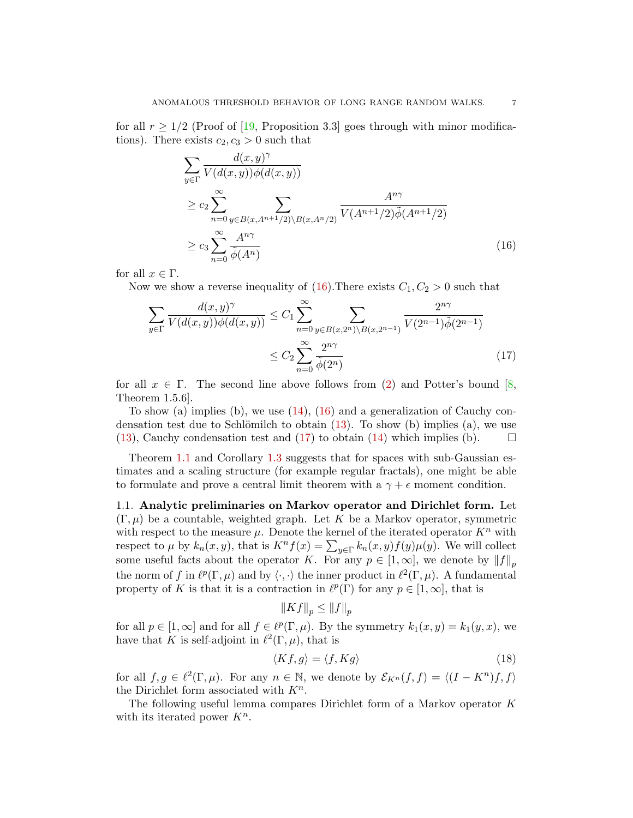for all  $r \geq 1/2$  (Proof of [\[19,](#page-22-17) Proposition 3.3] goes through with minor modifications). There exists  $c_2, c_3 > 0$  such that

<span id="page-6-0"></span>
$$
\sum_{y \in \Gamma} \frac{d(x, y)^{\gamma}}{V(d(x, y))\phi(d(x, y))}
$$
\n
$$
\geq c_2 \sum_{n=0}^{\infty} \sum_{y \in B(x, A^{n+1}/2) \setminus B(x, A^n/2)} \frac{A^{n\gamma}}{V(A^{n+1}/2)\tilde{\phi}(A^{n+1}/2)}
$$
\n
$$
\geq c_3 \sum_{n=0}^{\infty} \frac{A^{n\gamma}}{\tilde{\phi}(A^n)}
$$
\n(16)

for all  $x \in \Gamma$ .

Now we show a reverse inequality of  $(16)$ . There exists  $C_1, C_2 > 0$  such that

$$
\sum_{y \in \Gamma} \frac{d(x, y)^{\gamma}}{V(d(x, y))\phi(d(x, y))} \le C_1 \sum_{n=0}^{\infty} \sum_{y \in B(x, 2^n) \setminus B(x, 2^{n-1})} \frac{2^{n\gamma}}{V(2^{n-1})\tilde{\phi}(2^{n-1})}
$$

$$
\le C_2 \sum_{n=0}^{\infty} \frac{2^{n\gamma}}{\tilde{\phi}(2^n)} \tag{17}
$$

for all  $x \in \Gamma$ . The second line above follows from [\(2\)](#page-1-0) and Potter's bound [\[8,](#page-22-12) Theorem 1.5.6].

To show (a) implies (b), we use  $(14)$ ,  $(16)$  and a generalization of Cauchy condensation test due to Schlömilch to obtain  $(13)$ . To show (b) implies (a), we use [\(13\)](#page-5-2), Cauchy condensation test and [\(17\)](#page-6-1) to obtain [\(14\)](#page-5-1) which implies (b).  $\Box$ 

Theorem [1.1](#page-3-2) and Corollary [1.3](#page-5-0) suggests that for spaces with sub-Gaussian estimates and a scaling structure (for example regular fractals), one might be able to formulate and prove a central limit theorem with a  $\gamma + \epsilon$  moment condition.

1.1. Analytic preliminaries on Markov operator and Dirichlet form. Let  $(\Gamma, \mu)$  be a countable, weighted graph. Let K be a Markov operator, symmetric with respect to the measure  $\mu$ . Denote the kernel of the iterated operator  $K^n$  with respect to  $\mu$  by  $k_n(x, y)$ , that is  $K^n f(x) = \sum_{y \in \Gamma} k_n(x, y) f(y) \mu(y)$ . We will collect some useful facts about the operator K. For any  $p \in [1,\infty]$ , we denote by  $||f||_p$ the norm of f in  $\ell^p(\Gamma,\mu)$  and by  $\langle \cdot, \cdot \rangle$  the inner product in  $\ell^2(\Gamma,\mu)$ . A fundamental property of K is that it is a contraction in  $\ell^p(\Gamma)$  for any  $p \in [1,\infty]$ , that is

<span id="page-6-1"></span>
$$
||Kf||_p \leq ||f||_p
$$

for all  $p \in [1, \infty]$  and for all  $f \in \ell^p(\Gamma, \mu)$ . By the symmetry  $k_1(x, y) = k_1(y, x)$ , we have that K is self-adjoint in  $\ell^2(\Gamma,\mu)$ , that is

<span id="page-6-2"></span>
$$
\langle Kf, g \rangle = \langle f, Kg \rangle \tag{18}
$$

for all  $f, g \in \ell^2(\Gamma, \mu)$ . For any  $n \in \mathbb{N}$ , we denote by  $\mathcal{E}_{K^n}(f, f) = \langle (I - K^n)f, f \rangle$ the Dirichlet form associated with  $K^n$ .

The following useful lemma compares Dirichlet form of a Markov operator K with its iterated power  $K^n$ .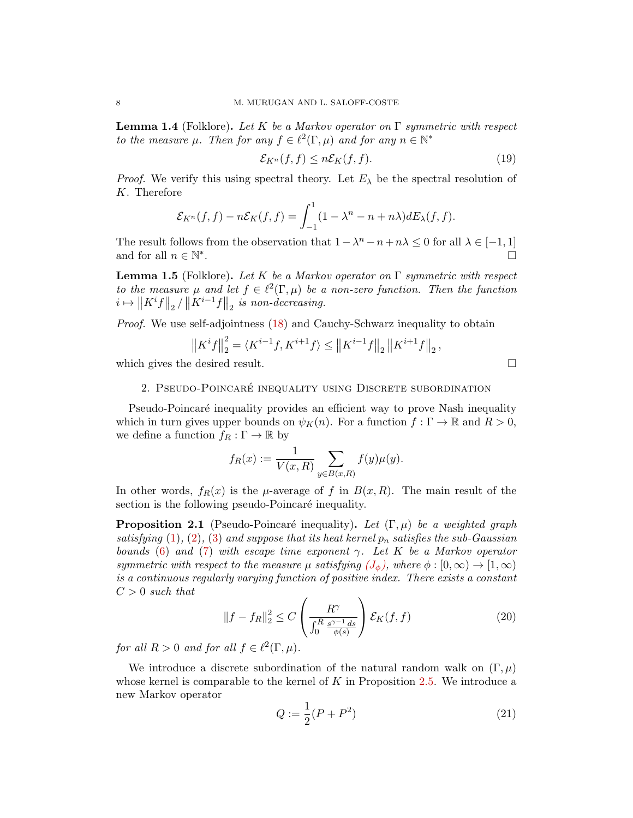<span id="page-7-0"></span>**Lemma 1.4** (Folklore). Let K be a Markov operator on  $\Gamma$  symmetric with respect to the measure  $\mu$ . Then for any  $f \in \ell^2(\Gamma, \mu)$  and for any  $n \in \mathbb{N}^*$ 

$$
\mathcal{E}_{K^n}(f,f) \le n\mathcal{E}_K(f,f). \tag{19}
$$

*Proof.* We verify this using spectral theory. Let  $E_{\lambda}$  be the spectral resolution of K. Therefore

$$
\mathcal{E}_{K^n}(f,f) - n\mathcal{E}_K(f,f) = \int_{-1}^1 (1 - \lambda^n - n + n\lambda) dE_\lambda(f,f).
$$

The result follows from the observation that  $1 - \lambda^n - n + n\lambda \leq 0$  for all  $\lambda \in [-1, 1]$ and for all  $n \in \mathbb{N}^*$ .

<span id="page-7-4"></span>**Lemma 1.5** (Folklore). Let K be a Markov operator on  $\Gamma$  symmetric with respect to the measure  $\mu$  and let  $f \in \ell^2(\Gamma, \mu)$  be a non-zero function. Then the function  $i \mapsto \|K^i f\|_2 / \|K^{i-1}f\|_2$  is non-decreasing.

Proof. We use self-adjointness [\(18\)](#page-6-2) and Cauchy-Schwarz inequality to obtain

$$
\left\|K^{i}f\right\|_{2}^{2} = \langle K^{i-1}f, K^{i+1}f \rangle \leq \left\|K^{i-1}f\right\|_{2} \left\|K^{i+1}f\right\|_{2},
$$

which gives the desired result.

# 2. PSEUDO-POINCARÉ INEQUALITY USING DISCRETE SUBORDINATION

Pseudo-Poincaré inequality provides an efficient way to prove Nash inequality which in turn gives upper bounds on  $\psi_K(n)$ . For a function  $f : \Gamma \to \mathbb{R}$  and  $R > 0$ , we define a function  $f_R : \Gamma \to \mathbb{R}$  by

$$
f_R(x) := \frac{1}{V(x,R)} \sum_{y \in B(x,R)} f(y) \mu(y).
$$

In other words,  $f_R(x)$  is the  $\mu$ -average of f in  $B(x, R)$ . The main result of the section is the following pseudo-Poincaré inequality.

<span id="page-7-1"></span>**Proposition 2.1** (Pseudo-Poincaré inequality). Let  $(\Gamma, \mu)$  be a weighted graph satisfying [\(1\)](#page-1-1), [\(2\)](#page-1-0), [\(3\)](#page-1-2) and suppose that its heat kernel  $p_n$  satisfies the sub-Gaussian bounds [\(6\)](#page-2-0) and [\(7\)](#page-2-1) with escape time exponent  $\gamma$ . Let K be a Markov operator symmetric with respect to the measure  $\mu$  satisfying  $(J_{\phi})$  $(J_{\phi})$  $(J_{\phi})$ , where  $\phi : [0, \infty) \to [1, \infty)$ is a continuous regularly varying function of positive index. There exists a constant  $C > 0$  such that

<span id="page-7-3"></span>
$$
||f - f_R||_2^2 \le C \left(\frac{R^\gamma}{\int_0^R \frac{s^{\gamma - 1} ds}{\phi(s)}}\right) \mathcal{E}_K(f, f) \tag{20}
$$

for all  $R > 0$  and for all  $f \in \ell^2(\Gamma, \mu)$ .

We introduce a discrete subordination of the natural random walk on  $(\Gamma, \mu)$ whose kernel is comparable to the kernel of  $K$  in Proposition [2.5.](#page-10-1) We introduce a new Markov operator

<span id="page-7-2"></span>
$$
Q := \frac{1}{2}(P + P^2)
$$
 (21)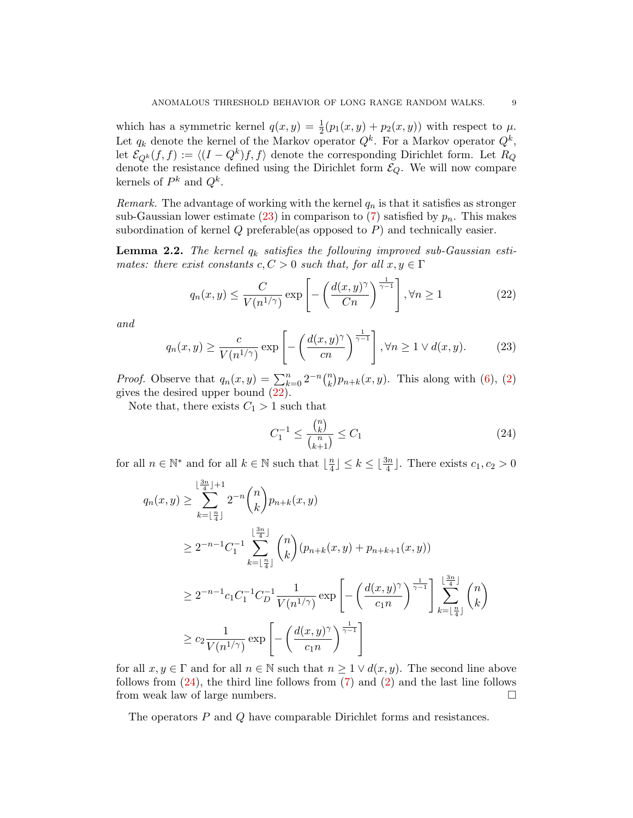which has a symmetric kernel  $q(x, y) = \frac{1}{2}(p_1(x, y) + p_2(x, y))$  with respect to  $\mu$ . Let  $q_k$  denote the kernel of the Markov operator  $Q^k$ . For a Markov operator  $Q^k$ , let  $\mathcal{E}_{Q^k}(f, f) := \langle (I - Q^k)f, f \rangle$  denote the corresponding Dirichlet form. Let  $R_Q$ denote the resistance defined using the Dirichlet form  $\mathcal{E}_Q$ . We will now compare kernels of  $P^k$  and  $Q^k$ .

Remark. The advantage of working with the kernel  $q_n$  is that it satisfies as stronger sub-Gaussian lower estimate [\(23\)](#page-8-0) in comparison to [\(7\)](#page-2-1) satisfied by  $p_n$ . This makes subordination of kernel  $Q$  preferable(as opposed to  $P$ ) and technically easier.

<span id="page-8-3"></span>**Lemma 2.2.** The kernel  $q_k$  satisfies the following improved sub-Gaussian estimates: there exist constants  $c, C > 0$  such that, for all  $x, y \in \Gamma$ 

<span id="page-8-1"></span>
$$
q_n(x,y) \le \frac{C}{V(n^{1/\gamma})} \exp\left[-\left(\frac{d(x,y)^\gamma}{Cn}\right)^{\frac{1}{\gamma-1}}\right], \forall n \ge 1
$$
 (22)

and

<span id="page-8-0"></span>
$$
q_n(x,y) \ge \frac{c}{V(n^{1/\gamma})} \exp\left[-\left(\frac{d(x,y)^{\gamma}}{cn}\right)^{\frac{1}{\gamma-1}}\right], \forall n \ge 1 \lor d(x,y). \tag{23}
$$

*Proof.* Observe that  $q_n(x, y) = \sum_{k=0}^n 2^{-n} {n \choose k}$  $\binom{n}{k} p_{n+k}(x, y)$ . This along with [\(6\)](#page-2-0), [\(2\)](#page-1-0) gives the desired upper bound [\(22\)](#page-8-1).

Note that, there exists  $C_1 > 1$  such that

<span id="page-8-2"></span>
$$
C_1^{-1} \le \frac{\binom{n}{k}}{\binom{n}{k+1}} \le C_1 \tag{24}
$$

for all  $n \in \mathbb{N}^*$  and for all  $k \in \mathbb{N}$  such that  $\lfloor \frac{n}{4} \rfloor$  $\frac{n}{4}$  $\leq k \leq \lfloor \frac{3n}{4} \rfloor$ . There exists  $c_1, c_2 > 0$ 

$$
q_n(x, y) \ge \sum_{k=\lfloor \frac{n}{4} \rfloor}^{\lfloor \frac{3n}{4} \rfloor + 1} 2^{-n} {n \choose k} p_{n+k}(x, y)
$$
  
\n
$$
\ge 2^{-n-1} C_1^{-1} \sum_{k=\lfloor \frac{n}{4} \rfloor}^{\lfloor \frac{3n}{4} \rfloor} {n \choose k} (p_{n+k}(x, y) + p_{n+k+1}(x, y))
$$
  
\n
$$
\ge 2^{-n-1} C_1 C_1^{-1} C_D^{-1} \frac{1}{V(n^{1/\gamma})} \exp \left[ - \left( \frac{d(x, y)^\gamma}{c_1 n} \right)^{\frac{1}{\gamma - 1}} \right] \sum_{k=\lfloor \frac{n}{4} \rfloor}^{\lfloor \frac{3n}{4} \rfloor} {n \choose k}
$$
  
\n
$$
\ge c_2 \frac{1}{V(n^{1/\gamma})} \exp \left[ - \left( \frac{d(x, y)^\gamma}{c_1 n} \right)^{\frac{1}{\gamma - 1}} \right]
$$

for all  $x, y \in \Gamma$  and for all  $n \in \mathbb{N}$  such that  $n \geq 1 \vee d(x, y)$ . The second line above follows from  $(24)$ , the third line follows from  $(7)$  and  $(2)$  and the last line follows from weak law of large numbers.

The operators P and Q have comparable Dirichlet forms and resistances.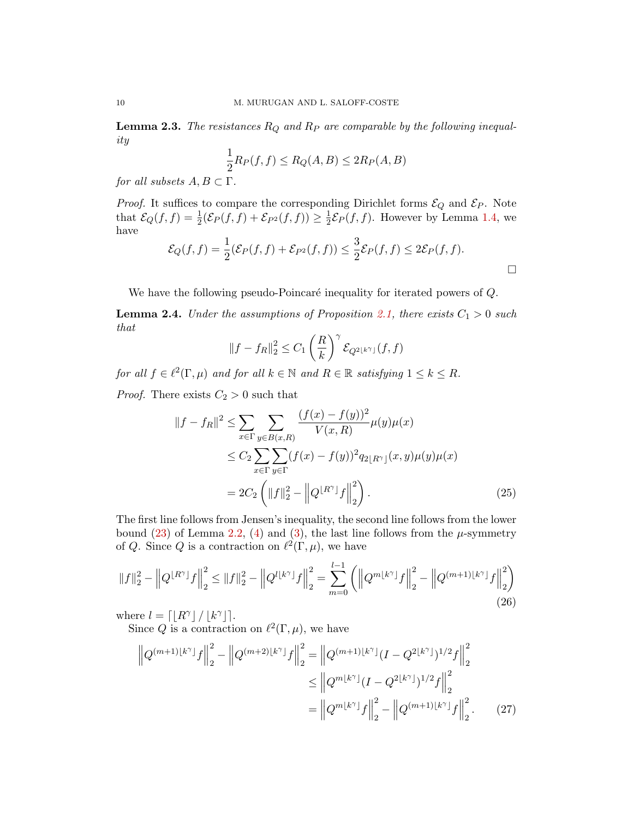<span id="page-9-4"></span>**Lemma 2.3.** The resistances  $R_Q$  and  $R_P$  are comparable by the following inequality

$$
\frac{1}{2}R_P(f,f) \le R_Q(A,B) \le 2R_P(A,B)
$$

for all subsets  $A, B \subset \Gamma$ .

*Proof.* It suffices to compare the corresponding Dirichlet forms  $\mathcal{E}_Q$  and  $\mathcal{E}_P$ . Note that  $\mathcal{E}_Q(f, f) = \frac{1}{2} (\mathcal{E}_P(f, f) + \mathcal{E}_{P^2}(f, f)) \ge \frac{1}{2}$  $\frac{1}{2}\mathcal{E}_P(f,f)$ . However by Lemma [1.4,](#page-7-0) we have

$$
\mathcal{E}_Q(f,f) = \frac{1}{2} (\mathcal{E}_P(f,f) + \mathcal{E}_{P^2}(f,f)) \leq \frac{3}{2} \mathcal{E}_P(f,f) \leq 2\mathcal{E}_P(f,f).
$$

We have the following pseudo-Poincaré inequality for iterated powers of  $Q$ .

<span id="page-9-3"></span>**Lemma 2.4.** Under the assumptions of Proposition [2.1,](#page-7-1) there exists  $C_1 > 0$  such that

<span id="page-9-2"></span>
$$
||f - f_R||_2^2 \le C_1 \left(\frac{R}{k}\right)^{\gamma} \mathcal{E}_{Q^{2\lfloor k^{\gamma} \rfloor}}(f, f)
$$

for all  $f \in \ell^2(\Gamma, \mu)$  and for all  $k \in \mathbb{N}$  and  $R \in \mathbb{R}$  satisfying  $1 \leq k \leq R$ . *Proof.* There exists  $C_2 > 0$  such that

$$
||f - f_R||^2 \le \sum_{x \in \Gamma} \sum_{y \in B(x,R)} \frac{(f(x) - f(y))^2}{V(x,R)} \mu(y)\mu(x)
$$
  
\n
$$
\le C_2 \sum_{x \in \Gamma} \sum_{y \in \Gamma} (f(x) - f(y))^2 q_{2\lfloor R^{\gamma} \rfloor}(x,y)\mu(y)\mu(x)
$$
  
\n
$$
= 2C_2 \left( ||f||_2^2 - ||Q^{\lfloor R^{\gamma} \rfloor} f||_2^2 \right).
$$
 (25)

The first line follows from Jensen's inequality, the second line follows from the lower bound [\(23\)](#page-8-0) of Lemma [2.2,](#page-8-3) [\(4\)](#page-1-4) and [\(3\)](#page-1-2), the last line follows from the  $\mu$ -symmetry of Q. Since Q is a contraction on  $\ell^2(\Gamma,\mu)$ , we have

<span id="page-9-0"></span>
$$
||f||_2^2 - \left||Q^{\lfloor R^{\gamma} \rfloor} f\right||_2^2 \le ||f||_2^2 - \left||Q^{\{k^{\gamma}\}} f\right||_2^2 = \sum_{m=0}^{l-1} \left( \left||Q^{m\{k^{\gamma}\}} f\right||_2^2 - \left||Q^{(m+1)\{k^{\gamma}\}} f\right||_2^2 \right)
$$
\n(26)

where  $l = \lfloor R^{\gamma} \rfloor / |k^{\gamma}|$ .

Since Q is a contraction on  $\ell^2(\Gamma,\mu)$ , we have

<span id="page-9-1"></span>
$$
\left\|Q^{(m+1)\lfloor k^{\gamma}\rfloor}f\right\|_{2}^{2} - \left\|Q^{(m+2)\lfloor k^{\gamma}\rfloor}f\right\|_{2}^{2} = \left\|Q^{(m+1)\lfloor k^{\gamma}\rfloor}(I - Q^{2\lfloor k^{\gamma}\rfloor})^{1/2}f\right\|_{2}^{2}
$$

$$
\leq \left\|Q^{m\lfloor k^{\gamma}\rfloor}(I - Q^{2\lfloor k^{\gamma}\rfloor})^{1/2}f\right\|_{2}^{2}
$$

$$
= \left\|Q^{m\lfloor k^{\gamma}\rfloor}f\right\|_{2}^{2} - \left\|Q^{(m+1)\lfloor k^{\gamma}\rfloor}f\right\|_{2}^{2}.
$$
 (27)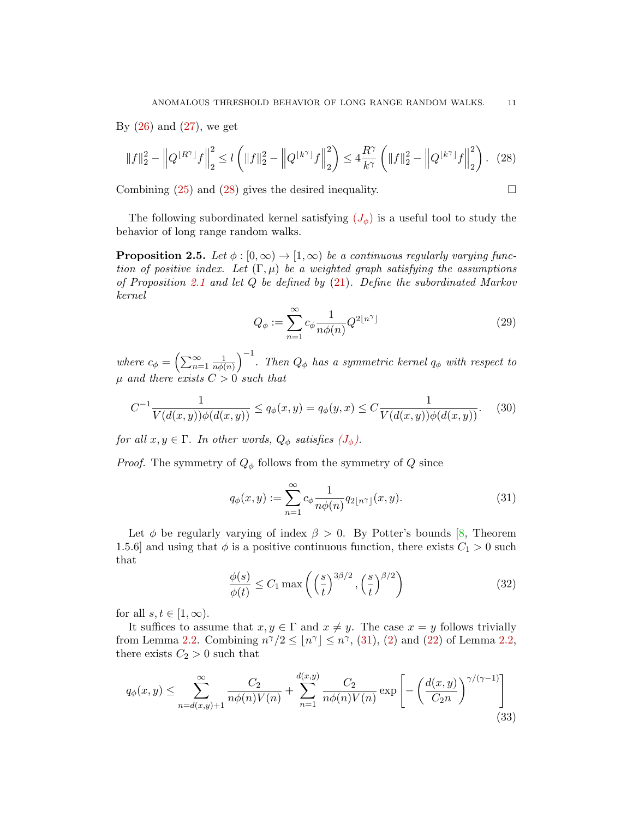By  $(26)$  and  $(27)$ , we get

<span id="page-10-2"></span>
$$
||f||_2^2 - \left||Q^{\lfloor R^\gamma\rfloor}f\right||_2^2 \le l\left(||f||_2^2 - \left||Q^{\lfloor k^\gamma\rfloor}f\right||_2^2\right) \le 4\frac{R^\gamma}{k^\gamma}\left(||f||_2^2 - \left||Q^{\lfloor k^\gamma\rfloor}f\right||_2^2\right). \tag{28}
$$

Combining  $(25)$  and  $(28)$  gives the desired inequality.

The following subordinated kernel satisfying  $(J_{\phi})$  $(J_{\phi})$  $(J_{\phi})$  is a useful tool to study the behavior of long range random walks.

<span id="page-10-1"></span>**Proposition 2.5.** Let  $\phi : [0, \infty) \to [1, \infty)$  be a continuous regularly varying function of positive index. Let  $(\Gamma, \mu)$  be a weighted graph satisfying the assumptions of Proposition [2.1](#page-7-1) and let Q be defined by [\(21\)](#page-7-2). Define the subordinated Markov kernel

<span id="page-10-0"></span>
$$
Q_{\phi} := \sum_{n=1}^{\infty} c_{\phi} \frac{1}{n\phi(n)} Q^{2\lfloor n^{\gamma} \rfloor}
$$
 (29)

where  $c_{\phi} = \left(\sum_{n=1}^{\infty} \frac{1}{n\phi(n)}\right)$  $\left(\frac{1}{n\phi(n)}\right)^{-1}$ . Then  $Q_{\phi}$  has a symmetric kernel  $q_{\phi}$  with respect to  $\mu$  and there exists  $C > 0$  such that

<span id="page-10-6"></span>
$$
C^{-1} \frac{1}{V(d(x,y))\phi(d(x,y))} \le q_{\phi}(x,y) = q_{\phi}(y,x) \le C \frac{1}{V(d(x,y))\phi(d(x,y))}.
$$
 (30)

for all  $x, y \in \Gamma$ . In other words,  $Q_{\phi}$  satisfies  $(J_{\phi})$  $(J_{\phi})$  $(J_{\phi})$ .

*Proof.* The symmetry of  $Q_{\phi}$  follows from the symmetry of  $Q$  since

<span id="page-10-3"></span>
$$
q_{\phi}(x, y) := \sum_{n=1}^{\infty} c_{\phi} \frac{1}{n\phi(n)} q_{2\lfloor n^{\gamma} \rfloor}(x, y).
$$
 (31)

Let  $\phi$  be regularly varying of index  $\beta > 0$ . By Potter's bounds [\[8,](#page-22-12) Theorem 1.5.6] and using that  $\phi$  is a positive continuous function, there exists  $C_1 > 0$  such that

<span id="page-10-5"></span>
$$
\frac{\phi(s)}{\phi(t)} \le C_1 \max\left( \left(\frac{s}{t}\right)^{3\beta/2}, \left(\frac{s}{t}\right)^{\beta/2} \right) \tag{32}
$$

for all  $s, t \in [1, \infty)$ .

It suffices to assume that  $x, y \in \Gamma$  and  $x \neq y$ . The case  $x = y$  follows trivially from Lemma [2.2.](#page-8-3) Combining  $n^{\gamma}/2 \leq |n^{\gamma}| \leq n^{\gamma}$ , [\(31\)](#page-10-3), [\(2\)](#page-1-0) and [\(22\)](#page-8-1) of Lemma [2.2,](#page-8-3) there exists  $C_2 > 0$  such that

<span id="page-10-4"></span>
$$
q_{\phi}(x,y) \le \sum_{n=d(x,y)+1}^{\infty} \frac{C_2}{n\phi(n)V(n)} + \sum_{n=1}^{d(x,y)} \frac{C_2}{n\phi(n)V(n)} \exp\left[-\left(\frac{d(x,y)}{C_2 n}\right)^{\gamma/(\gamma-1)}\right]
$$
(33)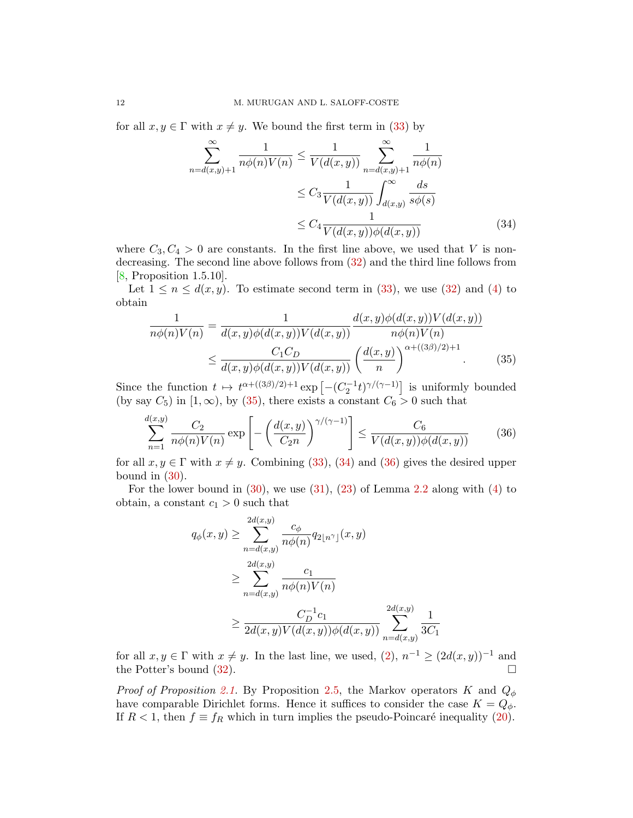for all  $x, y \in \Gamma$  with  $x \neq y$ . We bound the first term in [\(33\)](#page-10-4) by

<span id="page-11-1"></span>
$$
\sum_{n=d(x,y)+1}^{\infty} \frac{1}{n\phi(n)V(n)} \leq \frac{1}{V(d(x,y))} \sum_{n=d(x,y)+1}^{\infty} \frac{1}{n\phi(n)}
$$

$$
\leq C_3 \frac{1}{V(d(x,y))} \int_{d(x,y)}^{\infty} \frac{ds}{s\phi(s)}
$$

$$
\leq C_4 \frac{1}{V(d(x,y))\phi(d(x,y))}
$$
(34)

where  $C_3, C_4 > 0$  are constants. In the first line above, we used that V is nondecreasing. The second line above follows from [\(32\)](#page-10-5) and the third line follows from [\[8,](#page-22-12) Proposition 1.5.10].

Let  $1 \le n \le d(x, y)$ . To estimate second term in [\(33\)](#page-10-4), we use [\(32\)](#page-10-5) and [\(4\)](#page-1-4) to obtain

<span id="page-11-0"></span>
$$
\frac{1}{n\phi(n)V(n)} = \frac{1}{d(x,y)\phi(d(x,y))V(d(x,y))} \frac{d(x,y)\phi(d(x,y))V(d(x,y))}{n\phi(n)V(n)}
$$
\n
$$
\leq \frac{C_1C_D}{d(x,y)\phi(d(x,y))V(d(x,y))} \left(\frac{d(x,y)}{n}\right)^{\alpha + ((3\beta)/2) + 1}.\tag{35}
$$

Since the function  $t \mapsto t^{\alpha + ((3\beta)/2)+1} \exp \left[ -(C_2^{-1}t)^{\gamma/(\gamma-1)} \right]$  is uniformly bounded (by say  $C_5$ ) in  $[1, \infty)$ , by [\(35\)](#page-11-0), there exists a constant  $C_6 > 0$  such that

<span id="page-11-2"></span>
$$
\sum_{n=1}^{d(x,y)} \frac{C_2}{n\phi(n)V(n)} \exp\left[-\left(\frac{d(x,y)}{C_2 n}\right)^{\gamma/(\gamma-1)}\right] \le \frac{C_6}{V(d(x,y))\phi(d(x,y))} \tag{36}
$$

for all  $x, y \in \Gamma$  with  $x \neq y$ . Combining [\(33\)](#page-10-4), [\(34\)](#page-11-1) and [\(36\)](#page-11-2) gives the desired upper bound in  $(30)$ .

For the lower bound in  $(30)$ , we use  $(31)$ ,  $(23)$  of Lemma [2.2](#page-8-3) along with  $(4)$  to obtain, a constant  $c_1 > 0$  such that

$$
q_{\phi}(x, y) \ge \sum_{n=d(x,y)}^{2d(x,y)} \frac{c_{\phi}}{n\phi(n)} q_{2\lfloor n^{\gamma} \rfloor}(x, y)
$$
  

$$
\ge \sum_{n=d(x,y)}^{2d(x,y)} \frac{c_1}{n\phi(n)V(n)}
$$
  

$$
\ge \frac{C_D^{-1}c_1}{2d(x,y)V(d(x,y))\phi(d(x,y))} \sum_{n=d(x,y)}^{2d(x,y)} \frac{1}{3C_1}
$$

for all  $x, y \in \Gamma$  with  $x \neq y$ . In the last line, we used,  $(2), n^{-1} \geq (2d(x, y))^{-1}$  and the Potter's bound  $(32)$ .

*Proof of Proposition [2.1.](#page-7-1)* By Proposition [2.5,](#page-10-1) the Markov operators K and  $Q_{\phi}$ have comparable Dirichlet forms. Hence it suffices to consider the case  $K = Q_{\phi}$ . If  $R < 1$ , then  $f \equiv f_R$  which in turn implies the pseudo-Poincaré inequality [\(20\)](#page-7-3).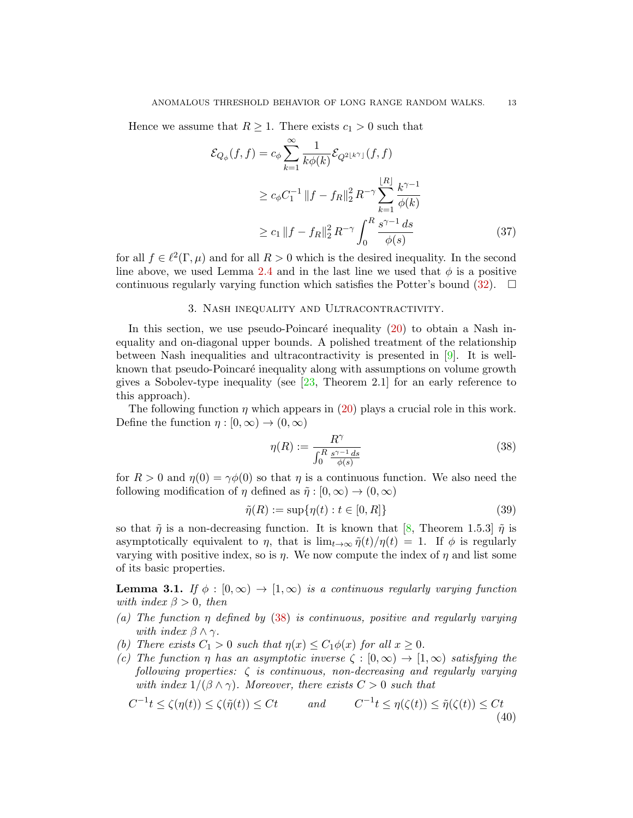Hence we assume that  $R \geq 1$ . There exists  $c_1 > 0$  such that

$$
\mathcal{E}_{Q_{\phi}}(f, f) = c_{\phi} \sum_{k=1}^{\infty} \frac{1}{k \phi(k)} \mathcal{E}_{Q^{2\lfloor k^{\gamma} \rfloor}}(f, f)
$$
  
\n
$$
\geq c_{\phi} C_1^{-1} \|f - f_R\|_2^2 R^{-\gamma} \sum_{k=1}^{\lfloor R \rfloor} \frac{k^{\gamma - 1}}{\phi(k)}
$$
  
\n
$$
\geq c_1 \|f - f_R\|_2^2 R^{-\gamma} \int_0^R \frac{s^{\gamma - 1} ds}{\phi(s)}
$$
(37)

for all  $f \in \ell^2(\Gamma, \mu)$  and for all  $R > 0$  which is the desired inequality. In the second line above, we used Lemma [2.4](#page-9-3) and in the last line we used that  $\phi$  is a positive continuous regularly varying function which satisfies the Potter's bound  $(32)$ .  $\Box$ 

### 3. Nash inequality and Ultracontractivity.

In this section, we use pseudo-Poincaré inequality  $(20)$  to obtain a Nash inequality and on-diagonal upper bounds. A polished treatment of the relationship between Nash inequalities and ultracontractivity is presented in [\[9\]](#page-22-18). It is wellknown that pseudo-Poincaré inequality along with assumptions on volume growth gives a Sobolev-type inequality (see  $[23,$  Theorem 2.1] for an early reference to this approach).

The following function  $\eta$  which appears in [\(20\)](#page-7-3) plays a crucial role in this work. Define the function  $\eta : [0, \infty) \to (0, \infty)$ 

<span id="page-12-0"></span>
$$
\eta(R) := \frac{R^{\gamma}}{\int_0^R \frac{s^{\gamma - 1} ds}{\phi(s)}}\tag{38}
$$

for  $R > 0$  and  $\eta(0) = \gamma \phi(0)$  so that  $\eta$  is a continuous function. We also need the following modification of  $\eta$  defined as  $\tilde{\eta}: [0, \infty) \to (0, \infty)$ 

<span id="page-12-2"></span>
$$
\tilde{\eta}(R) := \sup \{ \eta(t) : t \in [0, R] \}
$$
\n
$$
(39)
$$

so that  $\tilde{\eta}$  is a non-decreasing function. It is known that [\[8,](#page-22-12) Theorem 1.5.3]  $\tilde{\eta}$  is asymptotically equivalent to  $\eta$ , that is  $\lim_{t\to\infty} \tilde{\eta}(t)/\eta(t) = 1$ . If  $\phi$  is regularly varying with positive index, so is  $\eta$ . We now compute the index of  $\eta$  and list some of its basic properties.

<span id="page-12-3"></span>**Lemma 3.1.** If  $\phi : [0, \infty) \to [1, \infty)$  is a continuous regularly varying function with index  $\beta > 0$ , then

- (a) The function  $\eta$  defined by [\(38\)](#page-12-0) is continuous, positive and regularly varying with index  $\beta \wedge \gamma$ .
- (b) There exists  $C_1 > 0$  such that  $\eta(x) \leq C_1 \phi(x)$  for all  $x \geq 0$ .
- (c) The function  $\eta$  has an asymptotic inverse  $\zeta : [0, \infty) \to [1, \infty)$  satisfying the following properties:  $\zeta$  is continuous, non-decreasing and regularly varying with index  $1/(\beta \wedge \gamma)$ . Moreover, there exists  $C > 0$  such that

<span id="page-12-1"></span>
$$
C^{-1}t \le \zeta(\eta(t)) \le \zeta(\tilde{\eta}(t)) \le Ct \qquad \text{and} \qquad C^{-1}t \le \eta(\zeta(t)) \le \tilde{\eta}(\zeta(t)) \le Ct \tag{40}
$$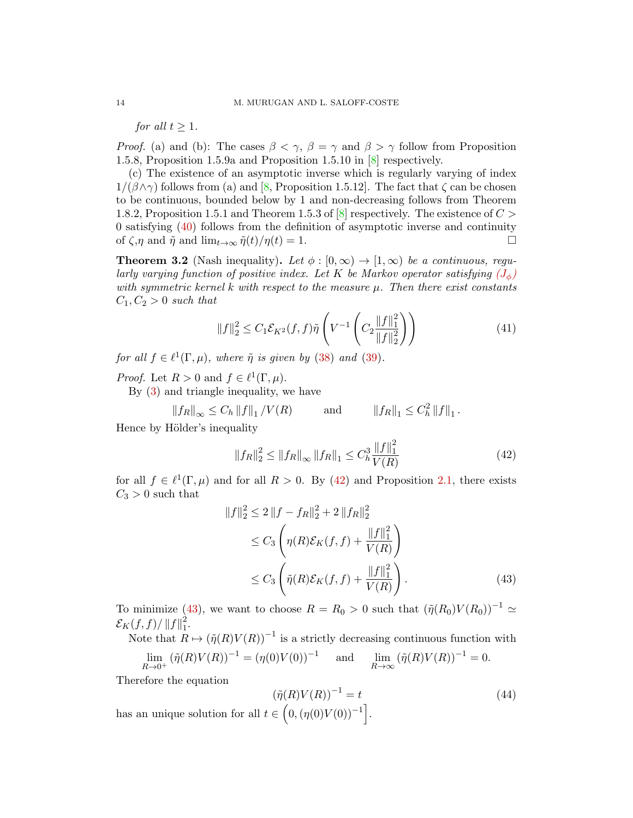for all  $t > 1$ .

*Proof.* (a) and (b): The cases  $\beta < \gamma$ ,  $\beta = \gamma$  and  $\beta > \gamma$  follow from Proposition 1.5.8, Proposition 1.5.9a and Proposition 1.5.10 in [\[8\]](#page-22-12) respectively.

(c) The existence of an asymptotic inverse which is regularly varying of index  $1/(\beta \wedge \gamma)$  follows from (a) and [\[8,](#page-22-12) Proposition 1.5.12]. The fact that  $\zeta$  can be chosen to be continuous, bounded below by 1 and non-decreasing follows from Theorem 1.8.2, Proposition 1.5.1 and Theorem 1.5.3 of  $[8]$  respectively. The existence of  $C >$ 0 satisfying [\(40\)](#page-12-1) follows from the definition of asymptotic inverse and continuity of  $\zeta$ , and  $\tilde{\eta}$  and lim<sub>t→∞</sub>  $\tilde{\eta}(t)/\eta(t) = 1$ .

**Theorem 3.2** (Nash inequality). Let  $\phi : [0, \infty) \to [1, \infty)$  be a continuous, regularly varying function of positive index. Let K be Markov operator satisfying  $(J_{\phi})$  $(J_{\phi})$  $(J_{\phi})$ with symmetric kernel k with respect to the measure  $\mu$ . Then there exist constants  $C_1, C_2 > 0$  such that

<span id="page-13-3"></span>
$$
||f||_2^2 \le C_1 \mathcal{E}_{K^2}(f, f) \tilde{\eta} \left( V^{-1} \left( C_2 \frac{||f||_1^2}{||f||_2^2} \right) \right) \tag{41}
$$

for all  $f \in \ell^1(\Gamma, \mu)$ , where  $\tilde{\eta}$  is given by [\(38\)](#page-12-0) and [\(39\)](#page-12-2).

*Proof.* Let  $R > 0$  and  $f \in \ell^1(\Gamma, \mu)$ .

By [\(3\)](#page-1-2) and triangle inequality, we have

$$
||f_R||_{\infty} \leq C_h ||f||_1 / V(R)
$$
 and  $||f_R||_1 \leq C_h^2 ||f||_1$ .

Hence by Hölder's inequality

<span id="page-13-0"></span>
$$
||f_R||_2^2 \le ||f_R||_{\infty} ||f_R||_1 \le C_h^3 \frac{||f||_1^2}{V(R)} \tag{42}
$$

for all  $f \in \ell^1(\Gamma,\mu)$  and for all  $R > 0$ . By [\(42\)](#page-13-0) and Proposition [2.1,](#page-7-1) there exists  $C_3 > 0$  such that

$$
||f||_2^2 \le 2||f - f_R||_2^2 + 2||f_R||_2^2
$$
  
\n
$$
\le C_3 \left( \eta(R)\mathcal{E}_K(f, f) + \frac{||f||_1^2}{V(R)} \right)
$$
  
\n
$$
\le C_3 \left( \tilde{\eta}(R)\mathcal{E}_K(f, f) + \frac{||f||_1^2}{V(R)} \right).
$$
\n(43)

To minimize [\(43\)](#page-13-1), we want to choose  $R = R_0 > 0$  such that  $(\tilde{\eta}(R_0)V(R_0))^{-1} \simeq$  $\mathcal{E}_K(f,f)/\left\|f\right\|_1^2$  $\frac{2}{1}$ .

Note that  $R \mapsto (\tilde{\eta}(R)V(R))^{-1}$  is a strictly decreasing continuous function with

$$
\lim_{R \to 0^+} (\tilde{\eta}(R)V(R))^{-1} = (\eta(0)V(0))^{-1} \quad \text{and} \quad \lim_{R \to \infty} (\tilde{\eta}(R)V(R))^{-1} = 0.
$$

Therefore the equation

<span id="page-13-2"></span><span id="page-13-1"></span>
$$
(\tilde{\eta}(R)V(R))^{-1} = t \tag{44}
$$

has an unique solution for all  $t \in (0, (\eta(0) V(0))^{-1}]$ .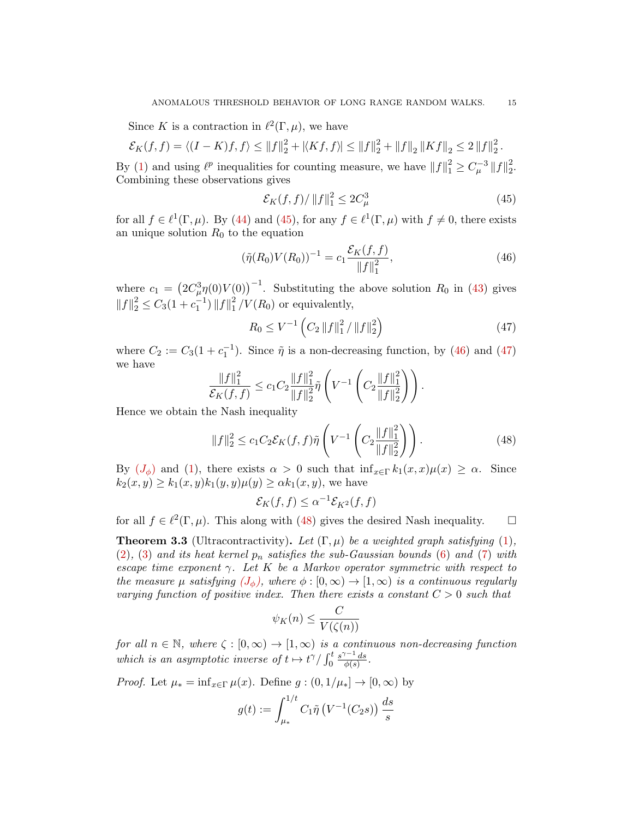Since K is a contraction in  $\ell^2(\Gamma,\mu)$ , we have

$$
\mathcal{E}_K(f,f) = \langle (I-K)f,f \rangle \le ||f||_2^2 + |\langle Kf,f \rangle| \le ||f||_2^2 + ||f||_2 ||Kf||_2 \le 2 ||f||_2^2.
$$

By [\(1\)](#page-1-1) and using  $\ell^p$  inequalities for counting measure, we have  $||f||_1^2 \geq C_{\mu}^{-3} ||f||_2^2$ 2 . Combining these observations gives

<span id="page-14-0"></span>
$$
\mathcal{E}_K(f,f) / \|f\|_1^2 \le 2C_\mu^3 \tag{45}
$$

for all  $f \in \ell^1(\Gamma, \mu)$ . By [\(44\)](#page-13-2) and [\(45\)](#page-14-0), for any  $f \in \ell^1(\Gamma, \mu)$  with  $f \neq 0$ , there exists an unique solution  $R_0$  to the equation

<span id="page-14-1"></span>
$$
(\tilde{\eta}(R_0)V(R_0))^{-1} = c_1 \frac{\mathcal{E}_K(f,f)}{\|f\|_1^2},\tag{46}
$$

where  $c_1 = (2C_\mu^3 \eta(0)V(0))^{-1}$ . Substituting the above solution  $R_0$  in [\(43\)](#page-13-1) gives  $||f||_2^2 \leq C_3(1+c_1^{-1}) ||f||_1^2$  $\frac{2}{1}$ / $V(R_0)$  or equivalently,

<span id="page-14-2"></span>
$$
R_0 \le V^{-1} \left( C_2 \left\| f \right\|_1^2 / \left\| f \right\|_2^2 \right) \tag{47}
$$

where  $C_2 := C_3(1 + c_1^{-1})$ . Since  $\tilde{\eta}$  is a non-decreasing function, by [\(46\)](#page-14-1) and [\(47\)](#page-14-2) we have

$$
\frac{\|f\|_1^2}{\mathcal{E}_K(f,f)} \le c_1 C_2 \frac{\|f\|_1^2}{\|f\|_2^2} \tilde{\eta} \left( V^{-1} \left( C_2 \frac{\|f\|_1^2}{\|f\|_2^2} \right) \right).
$$

Hence we obtain the Nash inequality

<span id="page-14-3"></span>
$$
||f||_2^2 \le c_1 C_2 \mathcal{E}_K(f, f) \tilde{\eta} \left( V^{-1} \left( C_2 \frac{||f||_1^2}{||f||_2^2} \right) \right).
$$
 (48)

By  $(J_{\phi})$  $(J_{\phi})$  $(J_{\phi})$  and [\(1\)](#page-1-1), there exists  $\alpha > 0$  such that  $\inf_{x \in \Gamma} k_1(x,x) \mu(x) \geq \alpha$ . Since  $k_2(x, y) \ge k_1(x, y) k_1(y, y) \mu(y) \ge \alpha k_1(x, y)$ , we have

$$
\mathcal{E}_K(f,f) \le \alpha^{-1} \mathcal{E}_{K^2}(f,f)
$$

for all  $f \in \ell^2(\Gamma, \mu)$ . This along with [\(48\)](#page-14-3) gives the desired Nash inequality.  $\Box$ 

<span id="page-14-4"></span>**Theorem 3.3** (Ultracontractivity). Let  $(\Gamma, \mu)$  be a weighted graph satisfying [\(1\)](#page-1-1),  $(2), (3)$  $(2), (3)$  $(2), (3)$  and its heat kernel  $p_n$  satisfies the sub-Gaussian bounds  $(6)$  and  $(7)$  with escape time exponent  $\gamma$ . Let K be a Markov operator symmetric with respect to the measure  $\mu$  satisfying  $(J_{\phi})$  $(J_{\phi})$  $(J_{\phi})$ , where  $\phi : [0, \infty) \to [1, \infty)$  is a continuous regularly varying function of positive index. Then there exists a constant  $C > 0$  such that

$$
\psi_K(n) \le \frac{C}{V(\zeta(n))}
$$

for all  $n \in \mathbb{N}$ , where  $\zeta : [0, \infty) \to [1, \infty)$  is a continuous non-decreasing function which is an asymptotic inverse of  $t \mapsto t^{\gamma}/\int_0^t$  $s^{\gamma-1}$  ds  $\frac{e^{-x}ds}{\phi(s)}$ .

*Proof.* Let  $\mu_* = \inf_{x \in \Gamma} \mu(x)$ . Define  $g : (0, 1/\mu_*) \to [0, \infty)$  by

$$
g(t) := \int_{\mu_*}^{1/t} C_1 \tilde{\eta} \left( V^{-1}(C_2 s) \right) \frac{ds}{s}
$$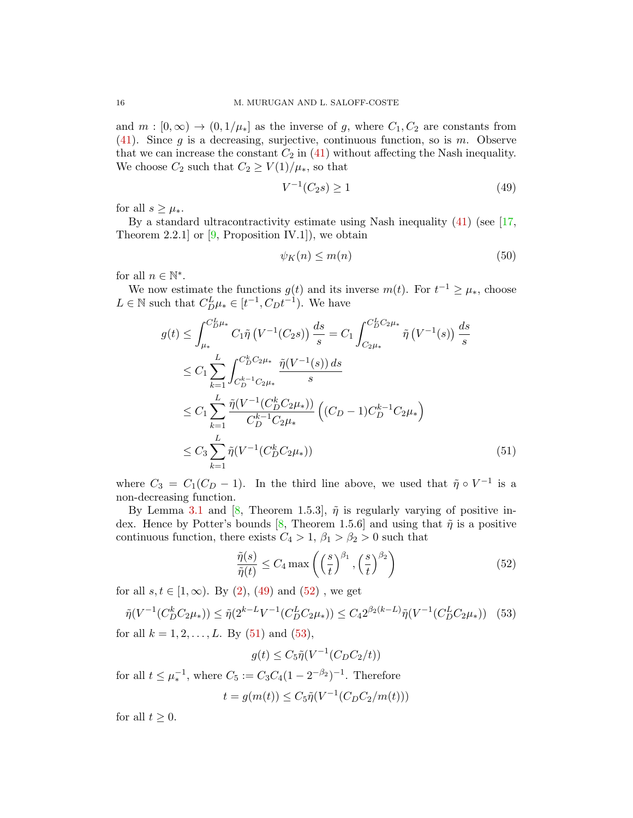and  $m : [0, \infty) \to (0, 1/\mu_*)$  as the inverse of g, where  $C_1, C_2$  are constants from [\(41\)](#page-13-3). Since g is a decreasing, surjective, continuous function, so is  $m$ . Observe that we can increase the constant  $C_2$  in [\(41\)](#page-13-3) without affecting the Nash inequality. We choose  $C_2$  such that  $C_2 \ge V(1)/\mu_*$ , so that

<span id="page-15-0"></span>
$$
V^{-1}(C_2s) \ge 1\tag{49}
$$

for all  $s \geq \mu_*$ .

By a standard ultracontractivity estimate using Nash inequality [\(41\)](#page-13-3) (see [\[17,](#page-22-11) Theorem 2.2.1 or  $[9,$  Proposition IV.1, we obtain

<span id="page-15-4"></span>
$$
\psi_K(n) \le m(n) \tag{50}
$$

for all  $n \in \mathbb{N}^*$ .

We now estimate the functions  $g(t)$  and its inverse  $m(t)$ . For  $t^{-1} \geq \mu_*$ , choose  $L \in \mathbb{N}$  such that  $C_D^L \mu_* \in [t^{-1}, C_D t^{-1})$ . We have

$$
g(t) \leq \int_{\mu_{*}}^{C_{D}^{L}\mu_{*}} C_{1}\tilde{\eta} \left(V^{-1}(C_{2}s)\right) \frac{ds}{s} = C_{1} \int_{C_{2}\mu_{*}}^{C_{D}^{L}C_{2}\mu_{*}} \tilde{\eta} \left(V^{-1}(s)\right) \frac{ds}{s}
$$
  
\n
$$
\leq C_{1} \sum_{k=1}^{L} \int_{C_{D}^{k-1}C_{2}\mu_{*}}^{C_{D}^{k}C_{2}\mu_{*}} \frac{\tilde{\eta}(V^{-1}(s))ds}{s}
$$
  
\n
$$
\leq C_{1} \sum_{k=1}^{L} \frac{\tilde{\eta}(V^{-1}(C_{D}^{k}C_{2}\mu_{*}))}{C_{D}^{k-1}C_{2}\mu_{*}} \left((C_{D} - 1)C_{D}^{k-1}C_{2}\mu_{*}\right)
$$
  
\n
$$
\leq C_{3} \sum_{k=1}^{L} \tilde{\eta}(V^{-1}(C_{D}^{k}C_{2}\mu_{*})) \tag{51}
$$

where  $C_3 = C_1(C_D - 1)$ . In the third line above, we used that  $\tilde{\eta} \circ V^{-1}$  is a non-decreasing function.

By Lemma [3.1](#page-12-3) and [\[8,](#page-22-12) Theorem 1.5.3],  $\tilde{\eta}$  is regularly varying of positive in-dex. Hence by Potter's bounds [\[8,](#page-22-12) Theorem 1.5.6] and using that  $\tilde{\eta}$  is a positive continuous function, there exists  $C_4 > 1$ ,  $\beta_1 > \beta_2 > 0$  such that

<span id="page-15-2"></span><span id="page-15-1"></span>
$$
\frac{\tilde{\eta}(s)}{\tilde{\eta}(t)} \le C_4 \max\left( \left(\frac{s}{t}\right)^{\beta_1}, \left(\frac{s}{t}\right)^{\beta_2} \right) \tag{52}
$$

for all  $s, t \in [1, \infty)$ . By  $(2), (49)$  $(2), (49)$  and  $(52)$ , we get

<span id="page-15-3"></span>
$$
\tilde{\eta}(V^{-1}(C_D^k C_2 \mu_*)) \le \tilde{\eta}(2^{k-L} V^{-1}(C_D^L C_2 \mu_*)) \le C_4 2^{\beta_2(k-L)} \tilde{\eta}(V^{-1}(C_D^L C_2 \mu_*)) \tag{53}
$$

for all  $k = 1, 2, ..., L$ . By [\(51\)](#page-15-2) and [\(53\)](#page-15-3),

$$
g(t) \le C_5 \tilde{\eta}(V^{-1}(C_D C_2/t))
$$

for all  $t \leq \mu_*^{-1}$ , where  $C_5 := C_3 C_4 (1 - 2^{-\beta_2})^{-1}$ . Therefore

$$
t = g(m(t)) \le C_5 \tilde{\eta}(V^{-1}(C_D C_2/m(t)))
$$

for all  $t > 0$ .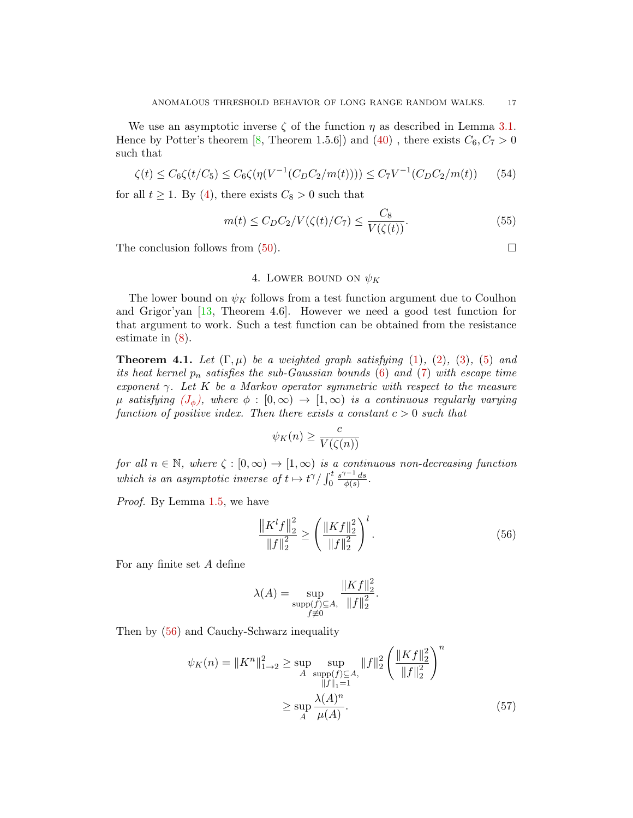We use an asymptotic inverse  $\zeta$  of the function  $\eta$  as described in Lemma [3.1.](#page-12-3) Hence by Potter's theorem [\[8,](#page-22-12) Theorem 1.5.6]) and [\(40\)](#page-12-1), there exists  $C_6, C_7 > 0$ such that

$$
\zeta(t) \le C_6 \zeta(t/C_5) \le C_6 \zeta(\eta(V^{-1}(C_D C_2/m(t)))) \le C_7 V^{-1}(C_D C_2/m(t)) \tag{54}
$$

for all  $t \geq 1$ . By [\(4\)](#page-1-4), there exists  $C_8 > 0$  such that

$$
m(t) \le C_D C_2 / V(\zeta(t)/C_7) \le \frac{C_8}{V(\zeta(t))}.\tag{55}
$$

The conclusion follows from  $(50)$ .

# 4. LOWER BOUND ON  $\psi_K$

The lower bound on  $\psi_K$  follows from a test function argument due to Coulhon and Grigor'yan [\[13,](#page-22-9) Theorem 4.6]. However we need a good test function for that argument to work. Such a test function can be obtained from the resistance estimate in [\(8\)](#page-2-2).

<span id="page-16-2"></span>**Theorem 4.1.** Let  $(\Gamma, \mu)$  be a weighted graph satisfying [\(1\)](#page-1-1), [\(2\)](#page-1-0), [\(3\)](#page-1-2), [\(5\)](#page-1-3) and its heat kernel  $p_n$  satisfies the sub-Gaussian bounds [\(6\)](#page-2-0) and [\(7\)](#page-2-1) with escape time exponent  $\gamma$ . Let K be a Markov operator symmetric with respect to the measure  $\mu$  satisfying  $(J_{\phi})$  $(J_{\phi})$  $(J_{\phi})$ , where  $\phi : [0,\infty) \to [1,\infty)$  is a continuous regularly varying function of positive index. Then there exists a constant  $c > 0$  such that

$$
\psi_K(n) \ge \frac{c}{V(\zeta(n))}
$$

for all  $n \in \mathbb{N}$ , where  $\zeta : [0, \infty) \to [1, \infty)$  is a continuous non-decreasing function which is an asymptotic inverse of  $t \mapsto t^{\gamma}/\int_0^t$  $s^{\gamma-1}$  ds  $\frac{e^{-x}ds}{\phi(s)}$  .

Proof. By Lemma [1.5,](#page-7-4) we have

<span id="page-16-0"></span>
$$
\frac{\left\|K^{l}f\right\|_{2}^{2}}{\|f\|_{2}^{2}} \ge \left(\frac{\left\|Kf\right\|_{2}^{2}}{\|f\|_{2}^{2}}\right)^{l}.\tag{56}
$$

For any finite set A define

<span id="page-16-1"></span>
$$
\lambda(A) = \sup_{\substack{\sup_{f \neq 0} (f) \subseteq A, \\ f \neq 0}} \frac{\|Kf\|_2^2}{\|f\|_2^2}.
$$

Then by [\(56\)](#page-16-0) and Cauchy-Schwarz inequality

$$
\psi_K(n) = \|K^n\|_{1\to 2}^2 \ge \sup_A \sup_{\substack{\|f\|_1 = 1 \\ \|f\|_1 = 1}} \|f\|_2^2 \left(\frac{\|Kf\|_2^2}{\|f\|_2^2}\right)^n
$$

$$
\ge \sup_A \frac{\lambda(A)^n}{\mu(A)}.
$$
\n(57)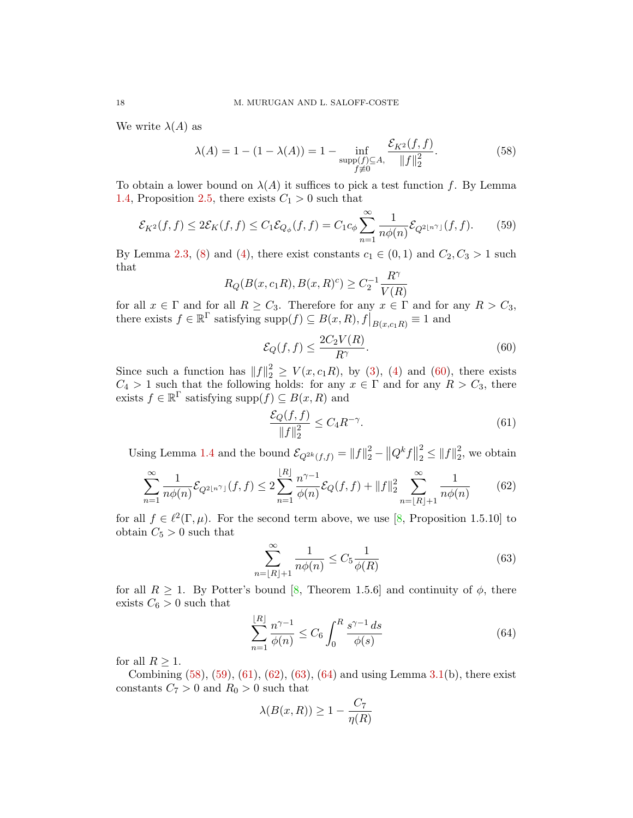We write  $\lambda(A)$  as

<span id="page-17-1"></span>
$$
\lambda(A) = 1 - (1 - \lambda(A)) = 1 - \inf_{\substack{\text{supp}(f) \subseteq A, \\ f \neq 0}} \frac{\mathcal{E}_{K^2}(f, f)}{\|f\|_2^2}.
$$
 (58)

To obtain a lower bound on  $\lambda(A)$  it suffices to pick a test function f. By Lemma [1.4,](#page-7-0) Proposition [2.5,](#page-10-1) there exists  $C_1 > 0$  such that

<span id="page-17-2"></span>
$$
\mathcal{E}_{K^2}(f,f) \le 2\mathcal{E}_K(f,f) \le C_1 \mathcal{E}_{Q_{\phi}}(f,f) = C_1 c_{\phi} \sum_{n=1}^{\infty} \frac{1}{n\phi(n)} \mathcal{E}_{Q^2\lfloor n^{\gamma} \rfloor}(f,f). \tag{59}
$$

By Lemma [2.3,](#page-9-4) [\(8\)](#page-2-2) and [\(4\)](#page-1-4), there exist constants  $c_1 \in (0,1)$  and  $C_2, C_3 > 1$  such that

$$
R_Q(B(x, c_1 R), B(x, R)^c) \ge C_2^{-1} \frac{R^{\gamma}}{V(R)}
$$

for all  $x \in \Gamma$  and for all  $R \geq C_3$ . Therefore for any  $x \in \Gamma$  and for any  $R > C_3$ , there exists  $f \in \mathbb{R}^{\Gamma}$  satisfying  $\text{supp}(f) \subseteq B(x, R), f|_{B(x, c_1, R)} \equiv 1$  and

<span id="page-17-0"></span>
$$
\mathcal{E}_Q(f,f) \le \frac{2C_2V(R)}{R^\gamma}.\tag{60}
$$

Since such a function has  $||f||_2^2 \ge V(x,c_1R)$ , by [\(3\)](#page-1-2), [\(4\)](#page-1-4) and [\(60\)](#page-17-0), there exists  $C_4 > 1$  such that the following holds: for any  $x \in \Gamma$  and for any  $R > C_3$ , there exists  $f \in \mathbb{R}^{\Gamma}$  satisfying supp $(f) \subseteq B(x, R)$  and

<span id="page-17-3"></span>
$$
\frac{\mathcal{E}_Q(f,f)}{\|f\|_2^2} \le C_4 R^{-\gamma}.\tag{61}
$$

Using Lemma [1.4](#page-7-0) and the bound  $\mathcal{E}_{Q^{2k}(f,f)} = ||f||_2^2 - ||Q^k f||$ 2  $2^{2} \leq ||f||_{2}^{2}$  $2<sub>2</sub>$ , we obtain

<span id="page-17-4"></span>
$$
\sum_{n=1}^{\infty} \frac{1}{n\phi(n)} \mathcal{E}_{Q^2\lfloor n^{\gamma} \rfloor}(f,f) \le 2 \sum_{n=1}^{\lfloor R \rfloor} \frac{n^{\gamma-1}}{\phi(n)} \mathcal{E}_Q(f,f) + \|f\|_2^2 \sum_{n=\lfloor R \rfloor+1}^{\infty} \frac{1}{n\phi(n)} \tag{62}
$$

for all  $f \in \ell^2(\Gamma, \mu)$ . For the second term above, we use [\[8,](#page-22-12) Proposition 1.5.10] to obtain  $C_5 > 0$  such that

<span id="page-17-5"></span>
$$
\sum_{n=\lfloor R\rfloor+1}^{\infty} \frac{1}{n\phi(n)} \le C_5 \frac{1}{\phi(R)}\tag{63}
$$

for all  $R \geq 1$ . By Potter's bound [\[8,](#page-22-12) Theorem 1.5.6] and continuity of  $\phi$ , there exists  $C_6 > 0$  such that

<span id="page-17-6"></span>
$$
\sum_{n=1}^{\lfloor R \rfloor} \frac{n^{\gamma - 1}}{\phi(n)} \le C_6 \int_0^R \frac{s^{\gamma - 1} \, ds}{\phi(s)} \tag{64}
$$

for all  $R \geq 1$ .

Combining  $(58)$ ,  $(59)$ ,  $(61)$ ,  $(62)$ ,  $(63)$ ,  $(64)$  and using Lemma [3.1\(](#page-12-3)b), there exist constants  $C_7 > 0$  and  $R_0 > 0$  such that

$$
\lambda(B(x,R)) \ge 1 - \frac{C_7}{\eta(R)}
$$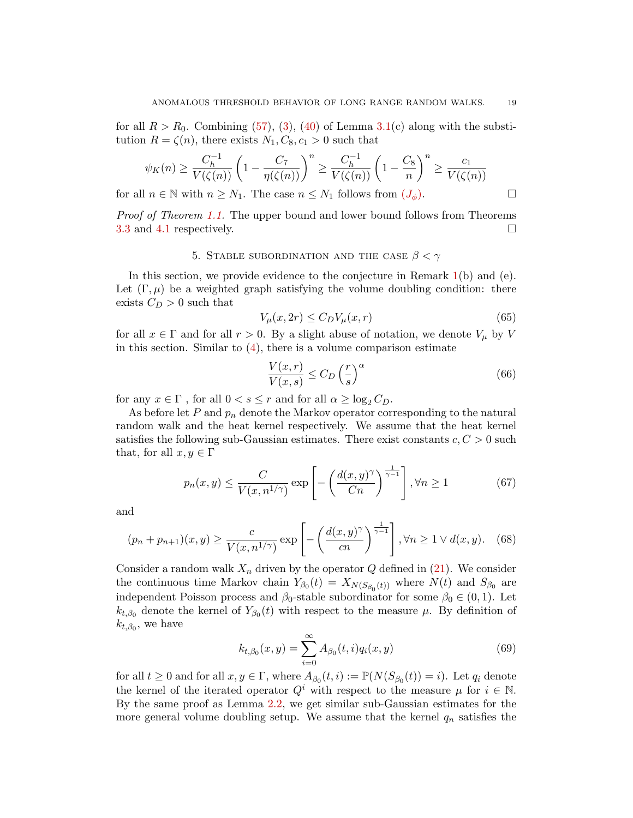for all  $R > R_0$ . Combining [\(57\)](#page-16-1), [\(3\)](#page-1-2), [\(40\)](#page-12-1) of Lemma [3.1\(](#page-12-3)c) along with the substitution  $R = \zeta(n)$ , there exists  $N_1, C_8, c_1 > 0$  such that

$$
\psi_K(n) \ge \frac{C_h^{-1}}{V(\zeta(n))} \left(1 - \frac{C_7}{\eta(\zeta(n))}\right)^n \ge \frac{C_h^{-1}}{V(\zeta(n))} \left(1 - \frac{C_8}{n}\right)^n \ge \frac{c_1}{V(\zeta(n))}
$$
\n
$$
\text{ln } \zeta \text{ N with } n \ge N. \text{ The case } n \le N. \text{ follows from (L)}
$$

for all  $n \in \mathbb{N}$  with  $n \geq N_1$ . The case  $n \leq N_1$  follows from  $(J_\phi)$  $(J_\phi)$  $(J_\phi)$ .

Proof of Theorem [1.1.](#page-3-2) The upper bound and lower bound follows from Theorems [3.3](#page-14-4) and [4.1](#page-16-2) respectively.

# 5. STABLE SUBORDINATION AND THE CASE  $\beta < \gamma$

In this section, we provide evidence to the conjecture in Remark [1\(](#page-3-3)b) and (e). Let  $(\Gamma, \mu)$  be a weighted graph satisfying the volume doubling condition: there exists  $C_D > 0$  such that

<span id="page-18-0"></span>
$$
V_{\mu}(x, 2r) \le C_D V_{\mu}(x, r) \tag{65}
$$

for all  $x \in \Gamma$  and for all  $r > 0$ . By a slight abuse of notation, we denote  $V_{\mu}$  by V in this section. Similar to [\(4\)](#page-1-4), there is a volume comparison estimate

<span id="page-18-4"></span>
$$
\frac{V(x,r)}{V(x,s)} \le C_D \left(\frac{r}{s}\right)^{\alpha} \tag{66}
$$

for any  $x\in \Gamma$  , for all  $0 < s \leq r$  and for all  $\alpha \geq \log_2 C_D.$ 

As before let  $P$  and  $p_n$  denote the Markov operator corresponding to the natural random walk and the heat kernel respectively. We assume that the heat kernel satisfies the following sub-Gaussian estimates. There exist constants  $c, C > 0$  such that, for all  $x, y \in \Gamma$ 

<span id="page-18-1"></span>
$$
p_n(x,y) \le \frac{C}{V(x,n^{1/\gamma})} \exp\left[-\left(\frac{d(x,y)^\gamma}{Cn}\right)^{\frac{1}{\gamma-1}}\right], \forall n \ge 1 \tag{67}
$$

and

<span id="page-18-2"></span>
$$
(p_n + p_{n+1})(x, y) \ge \frac{c}{V(x, n^{1/\gamma})} \exp\left[-\left(\frac{d(x, y)^{\gamma}}{cn}\right)^{\frac{1}{\gamma - 1}}\right], \forall n \ge 1 \lor d(x, y). \quad (68)
$$

Consider a random walk  $X_n$  driven by the operator  $Q$  defined in [\(21\)](#page-7-2). We consider the continuous time Markov chain  $Y_{\beta_0}(t) = X_{N(S_{\beta_0}(t))}$  where  $N(t)$  and  $S_{\beta_0}$  are independent Poisson process and  $\beta_0$ -stable subordinator for some  $\beta_0 \in (0,1)$ . Let  $k_{t,\beta_0}$  denote the kernel of  $Y_{\beta_0}(t)$  with respect to the measure  $\mu$ . By definition of  $k_{t,\beta_0}$ , we have

<span id="page-18-3"></span>
$$
k_{t,\beta_0}(x,y) = \sum_{i=0}^{\infty} A_{\beta_0}(t,i) q_i(x,y)
$$
\n(69)

for all  $t \geq 0$  and for all  $x, y \in \Gamma$ , where  $A_{\beta_0}(t, i) := \mathbb{P}(N(S_{\beta_0}(t)) = i)$ . Let  $q_i$  denote the kernel of the iterated operator  $Q^i$  with respect to the measure  $\mu$  for  $i \in \mathbb{N}$ . By the same proof as Lemma [2.2,](#page-8-3) we get similar sub-Gaussian estimates for the more general volume doubling setup. We assume that the kernel  $q_n$  satisfies the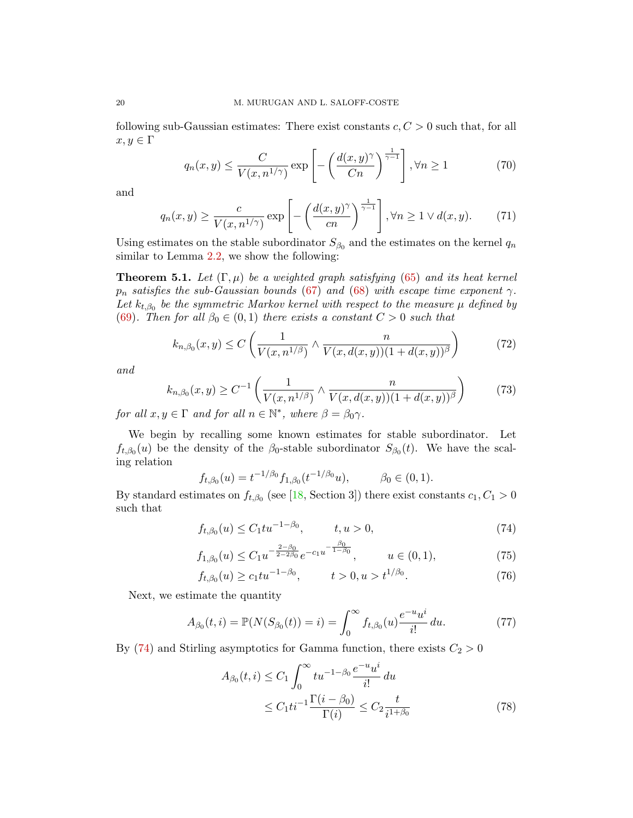following sub-Gaussian estimates: There exist constants  $c, C > 0$  such that, for all  $x, y \in \Gamma$ 

<span id="page-19-5"></span>
$$
q_n(x,y) \le \frac{C}{V(x,n^{1/\gamma})} \exp\left[-\left(\frac{d(x,y)^\gamma}{Cn}\right)^{\frac{1}{\gamma-1}}\right], \forall n \ge 1 \tag{70}
$$

and

<span id="page-19-3"></span>
$$
q_n(x,y) \ge \frac{c}{V(x,n^{1/\gamma})} \exp\left[-\left(\frac{d(x,y)^{\gamma}}{cn}\right)^{\frac{1}{\gamma-1}}\right], \forall n \ge 1 \lor d(x,y). \tag{71}
$$

Using estimates on the stable subordinator  $S_{\beta_0}$  and the estimates on the kernel  $q_n$ similar to Lemma [2.2,](#page-8-3) we show the following:

<span id="page-19-2"></span>**Theorem 5.1.** Let  $(\Gamma, \mu)$  be a weighted graph satisfying [\(65\)](#page-18-0) and its heat kernel  $p_n$  satisfies the sub-Gaussian bounds [\(67\)](#page-18-1) and [\(68\)](#page-18-2) with escape time exponent  $\gamma$ . Let  $k_{t,\beta_0}$  be the symmetric Markov kernel with respect to the measure  $\mu$  defined by [\(69\)](#page-18-3). Then for all  $\beta_0 \in (0,1)$  there exists a constant  $C > 0$  such that

<span id="page-19-6"></span>
$$
k_{n,\beta_0}(x,y) \le C\left(\frac{1}{V(x,n^{1/\beta})} \wedge \frac{n}{V(x,d(x,y))(1+d(x,y))^{\beta}}\right) \tag{72}
$$

and

$$
k_{n,\beta_0}(x,y) \ge C^{-1} \left( \frac{1}{V(x,n^{1/\beta})} \wedge \frac{n}{V(x,d(x,y))(1+d(x,y))^{\beta}} \right) \tag{73}
$$

for all  $x, y \in \Gamma$  and for all  $n \in \mathbb{N}^*$ , where  $\beta = \beta_0 \gamma$ .

We begin by recalling some known estimates for stable subordinator. Let  $f_{t,\beta_0}(u)$  be the density of the  $\beta_0$ -stable subordinator  $S_{\beta_0}(t)$ . We have the scaling relation

$$
f_{t,\beta_0}(u) = t^{-1/\beta_0} f_{1,\beta_0}(t^{-1/\beta_0}u), \qquad \beta_0 \in (0,1).
$$

By standard estimates on  $f_{t,\beta_0}$  (see [\[18,](#page-22-20) Section 3]) there exist constants  $c_1, C_1 > 0$ such that

<span id="page-19-0"></span>
$$
f_{t,\beta_0}(u) \le C_1 t u^{-1-\beta_0}, \qquad t, u > 0,
$$
\n(74)

$$
f_{1,\beta_0}(u) \le C_1 u^{-\frac{2-\beta_0}{2-2\beta_0}} e^{-c_1 u^{-\frac{\beta_0}{1-\beta_0}}}, \qquad u \in (0,1), \tag{75}
$$

$$
f_{t,\beta_0}(u) \ge c_1 t u^{-1-\beta_0}, \qquad t > 0, u > t^{1/\beta_0}.
$$
 (76)

Next, we estimate the quantity

<span id="page-19-4"></span>
$$
A_{\beta_0}(t,i) = \mathbb{P}(N(S_{\beta_0}(t)) = i) = \int_0^\infty f_{t,\beta_0}(u) \frac{e^{-u}u^i}{i!} du.
$$
 (77)

By [\(74\)](#page-19-0) and Stirling asymptotics for Gamma function, there exists  $C_2 > 0$ 

<span id="page-19-7"></span><span id="page-19-1"></span>
$$
A_{\beta_0}(t,i) \le C_1 \int_0^\infty t u^{-1-\beta_0} \frac{e^{-u} u^i}{i!} du
$$
  
 
$$
\le C_1 t i^{-1} \frac{\Gamma(i-\beta_0)}{\Gamma(i)} \le C_2 \frac{t}{i^{1+\beta_0}}
$$
 (78)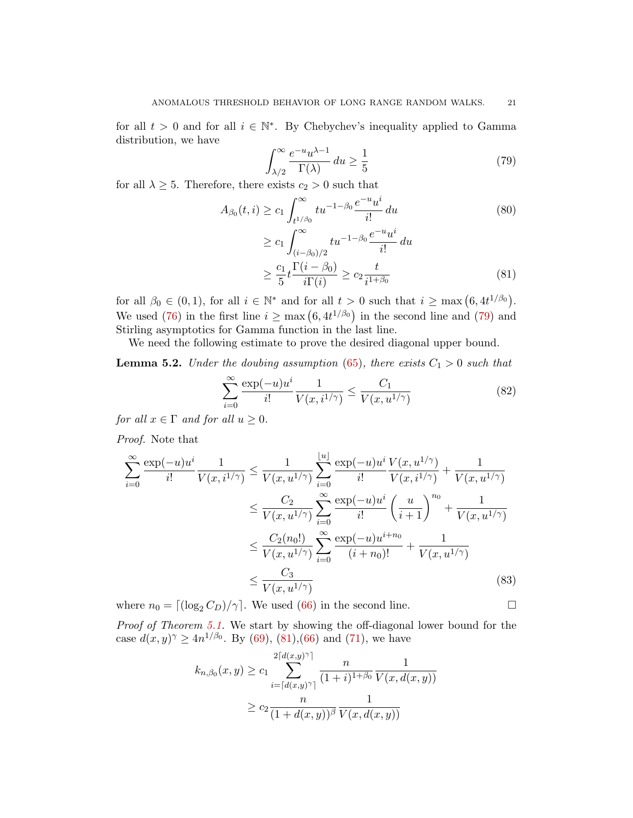for all  $t > 0$  and for all  $i \in \mathbb{N}^*$ . By Chebychev's inequality applied to Gamma distribution, we have

<span id="page-20-0"></span>
$$
\int_{\lambda/2}^{\infty} \frac{e^{-u} u^{\lambda - 1}}{\Gamma(\lambda)} du \ge \frac{1}{5}
$$
 (79)

for all  $\lambda \geq 5$ . Therefore, there exists  $c_2 > 0$  such that

$$
A_{\beta_0}(t,i) \ge c_1 \int_{t^{1/\beta_0}}^{\infty} t u^{-1-\beta_0} \frac{e^{-u} u^i}{i!} du
$$
\n
$$
\ge c_1 \int_{(i-\beta_0)/2}^{\infty} t u^{-1-\beta_0} \frac{e^{-u} u^i}{i!} du
$$
\n
$$
\ge \frac{c_1}{5} t \frac{\Gamma(i-\beta_0)}{i!} \ge c_2 \frac{t}{i^{1+\beta_0}}
$$
\n(81)

for all  $\beta_0 \in (0,1)$ , for all  $i \in \mathbb{N}^*$  and for all  $t > 0$  such that  $i \ge \max(6, 4t^{1/\beta_0})$ . We used [\(76\)](#page-19-1) in the first line  $i \geq \max(6, 4t^{1/\beta_0})$  in the second line and [\(79\)](#page-20-0) and Stirling asymptotics for Gamma function in the last line.

We need the following estimate to prove the desired diagonal upper bound.

<span id="page-20-2"></span>**Lemma 5.2.** Under the doubing assumption [\(65\)](#page-18-0), there exists  $C_1 > 0$  such that

$$
\sum_{i=0}^{\infty} \frac{\exp(-u)u^i}{i!} \frac{1}{V(x, i^{1/\gamma})} \le \frac{C_1}{V(x, u^{1/\gamma})}
$$
(82)

for all  $x \in \Gamma$  and for all  $u \geq 0$ .

Proof. Note that

$$
\sum_{i=0}^{\infty} \frac{\exp(-u)u^{i}}{i!} \frac{1}{V(x, i^{1/\gamma})} \le \frac{1}{V(x, u^{1/\gamma})} \sum_{i=0}^{\lfloor u \rfloor} \frac{\exp(-u)u^{i}}{i!} \frac{V(x, u^{1/\gamma})}{V(x, i^{1/\gamma})} + \frac{1}{V(x, u^{1/\gamma})}
$$
  
\n
$$
\le \frac{C_{2}}{V(x, u^{1/\gamma})} \sum_{i=0}^{\infty} \frac{\exp(-u)u^{i}}{i!} \left(\frac{u}{i+1}\right)^{n_{0}} + \frac{1}{V(x, u^{1/\gamma})}
$$
  
\n
$$
\le \frac{C_{2}(n_{0}!)}{V(x, u^{1/\gamma})} \sum_{i=0}^{\infty} \frac{\exp(-u)u^{i+n_{0}}}{(i+n_{0})!} + \frac{1}{V(x, u^{1/\gamma})}
$$
  
\n
$$
\le \frac{C_{3}}{V(x, u^{1/\gamma})}
$$
\n(83)

where  $n_0 = \left[ \left( \log_2 C_D \right) / \gamma \right]$ . We used [\(66\)](#page-18-4) in the second line.

Proof of Theorem [5.1.](#page-19-2) We start by showing the off-diagonal lower bound for the case  $d(x, y)$ <sup> $\gamma$ </sup>  $\geq 4n^{1/\beta_0}$ . By [\(69\)](#page-18-3), [\(81\)](#page-20-1), [\(66\)](#page-18-4) and [\(71\)](#page-19-3), we have

$$
k_{n,\beta_0}(x,y) \ge c_1 \sum_{i=\lceil d(x,y)^\gamma \rceil}^{2\lceil d(x,y)^\gamma \rceil} \frac{n}{(1+i)^{1+\beta_0}} \frac{1}{V(x,d(x,y))}
$$
  
 
$$
\ge c_2 \frac{n}{(1+d(x,y))^\beta} \frac{1}{V(x,d(x,y))}
$$

<span id="page-20-1"></span>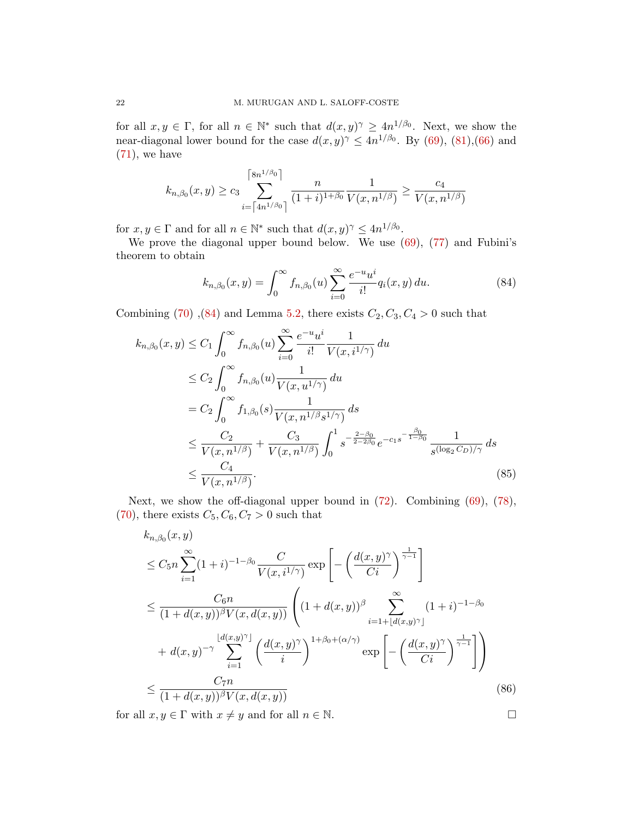for all  $x, y \in \Gamma$ , for all  $n \in \mathbb{N}^*$  such that  $d(x, y)$ <sup> $\gamma \geq 4n^{1/\beta_0}$ . Next, we show the</sup> near-diagonal lower bound for the case  $d(x, y)$ <sup> $\gamma \leq 4n^{1/\beta_0}$ . By [\(69\)](#page-18-3), [\(81\)](#page-20-1), [\(66\)](#page-18-4) and</sup>  $(71)$ , we have

$$
k_{n,\beta_0}(x,y) \ge c_3 \sum_{i=\lceil 4n^{1/\beta_0} \rceil}^{\lceil 8n^{1/\beta_0} \rceil} \frac{n}{(1+i)^{1+\beta_0}} \frac{1}{V(x,n^{1/\beta})} \ge \frac{c_4}{V(x,n^{1/\beta})}
$$

for  $x, y \in \Gamma$  and for all  $n \in \mathbb{N}^*$  such that  $d(x, y)$ <sup> $\gamma \leq 4n^{1/\beta_0}$ .</sup>

We prove the diagonal upper bound below. We use  $(69)$ ,  $(77)$  and Fubini's theorem to obtain

<span id="page-21-0"></span>
$$
k_{n,\beta_0}(x,y) = \int_0^\infty f_{n,\beta_0}(u) \sum_{i=0}^\infty \frac{e^{-u} u^i}{i!} q_i(x,y) du.
$$
 (84)

Combining [\(70\)](#page-19-5),[\(84\)](#page-21-0) and Lemma [5.2,](#page-20-2) there exists  $C_2, C_3, C_4 > 0$  such that

$$
k_{n,\beta_0}(x,y) \le C_1 \int_0^\infty f_{n,\beta_0}(u) \sum_{i=0}^\infty \frac{e^{-u}u^i}{i!} \frac{1}{V(x,i^{1/\gamma})} du
$$
  
\n
$$
\le C_2 \int_0^\infty f_{n,\beta_0}(u) \frac{1}{V(x,u^{1/\gamma})} du
$$
  
\n
$$
= C_2 \int_0^\infty f_{1,\beta_0}(s) \frac{1}{V(x,n^{1/\beta}s^{1/\gamma})} ds
$$
  
\n
$$
\le \frac{C_2}{V(x,n^{1/\beta})} + \frac{C_3}{V(x,n^{1/\beta})} \int_0^1 s^{-\frac{2-\beta_0}{2-2\beta_0}} e^{-c_1 s^{-\frac{\beta_0}{1-\beta_0}}} \frac{1}{s^{(\log_2 C_D)/\gamma}} ds
$$
  
\n
$$
\le \frac{C_4}{V(x,n^{1/\beta})}.
$$
\n(85)

Next, we show the off-diagonal upper bound in [\(72\)](#page-19-6). Combining [\(69\)](#page-18-3), [\(78\)](#page-19-7), [\(70\)](#page-19-5), there exists  $C_5, C_6, C_7 > 0$  such that

$$
k_{n,\beta_0}(x,y)
$$
  
\n
$$
\leq C_5 n \sum_{i=1}^{\infty} (1+i)^{-1-\beta_0} \frac{C}{V(x,i^{1/\gamma})} \exp\left[-\left(\frac{d(x,y)^{\gamma}}{Ci}\right)^{\frac{1}{\gamma-1}}\right]
$$
  
\n
$$
\leq \frac{C_6 n}{(1+d(x,y))^{\beta}V(x,d(x,y))} \left((1+d(x,y))^{\beta} \sum_{i=1+\lfloor d(x,y)^{\gamma} \rfloor}^{\infty} (1+i)^{-1-\beta_0} + d(x,y)^{-\gamma} \sum_{i=1}^{\lfloor d(x,y)^{\gamma} \rfloor} \left(\frac{d(x,y)^{\gamma}}{i}\right)^{1+\beta_0+(\alpha/\gamma)} \exp\left[-\left(\frac{d(x,y)^{\gamma}}{Ci}\right)^{\frac{1}{\gamma-1}}\right]\right)
$$
  
\n
$$
\leq \frac{C_7 n}{(1+d(x,y))^{\beta}V(x,d(x,y))}
$$
(86)

for all  $x, y \in \Gamma$  with  $x \neq y$  and for all  $n \in \mathbb{N}$ .

$$
\Box
$$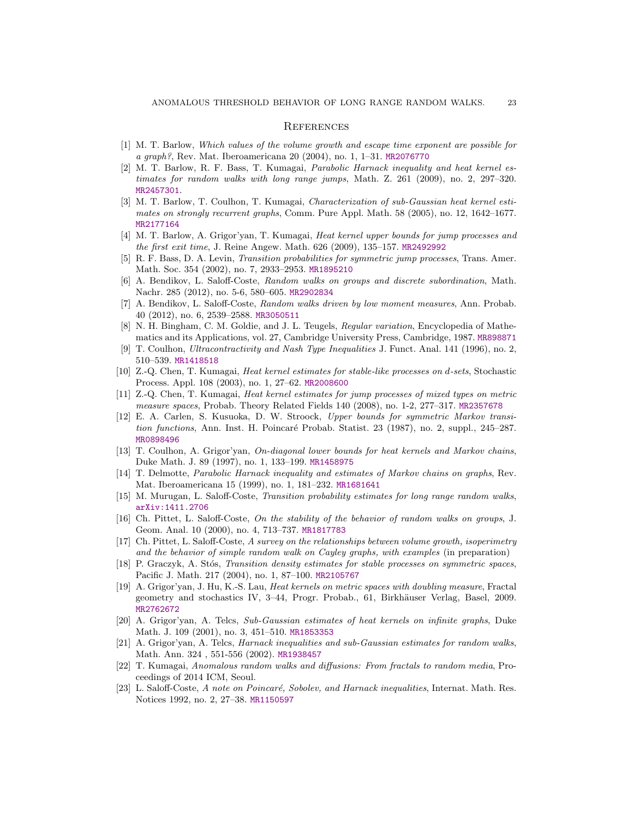#### **REFERENCES**

- <span id="page-22-10"></span>[1] M. T. Barlow, Which values of the volume growth and escape time exponent are possible for a graph?, Rev. Mat. Iberoamericana 20 (2004), no. 1, 1–31. [MR2076770](http://www.ams.org/mathscinet-getitem?mr=2076770)
- <span id="page-22-4"></span>[2] M. T. Barlow, R. F. Bass, T. Kumagai, Parabolic Harnack inequality and heat kernel estimates for random walks with long range jumps, Math. Z. 261 (2009), no. 2, 297–320. [MR2457301](http://www.ams.org/mathscinet-getitem?mr=2457301).
- <span id="page-22-8"></span>[3] M. T. Barlow, T. Coulhon, T. Kumagai, Characterization of sub-Gaussian heat kernel estimates on strongly recurrent graphs, Comm. Pure Appl. Math. 58 (2005), no. 12, 1642–1677. [MR2177164](http://www.ams.org/mathscinet-getitem?mr=2177164)
- <span id="page-22-5"></span>[4] M. T. Barlow, A. Grigor'yan, T. Kumagai, Heat kernel upper bounds for jump processes and the first exit time, J. Reine Angew. Math. 626 (2009), 135–157. [MR2492992](http://www.ams.org/mathscinet-getitem?mr=2492992)
- <span id="page-22-1"></span>[5] R. F. Bass, D. A. Levin, Transition probabilities for symmetric jump processes, Trans. Amer. Math. Soc. 354 (2002), no. 7, 2933–2953. [MR1895210](http://www.ams.org/mathscinet-getitem?mr=1895210)
- <span id="page-22-15"></span>[6] A. Bendikov, L. Saloff-Coste, Random walks on groups and discrete subordination, Math. Nachr. 285 (2012), no. 5-6, 580–605. [MR2902834](http://www.ams.org/mathscinet-getitem?mr=2902834)
- <span id="page-22-16"></span>[7] A. Bendikov, L. Saloff-Coste, Random walks driven by low moment measures, Ann. Probab. 40 (2012), no. 6, 2539–2588. [MR3050511](http://www.ams.org/mathscinet-getitem?mr=3050511)
- <span id="page-22-12"></span>[8] N. H. Bingham, C. M. Goldie, and J. L. Teugels, Regular variation, Encyclopedia of Mathematics and its Applications, vol. 27, Cambridge University Press, Cambridge, 1987. [MR898871](http://www.ams.org/mathscinet-getitem?mr=898871)
- <span id="page-22-18"></span>[9] T. Coulhon, Ultracontractivity and Nash Type Inequalities J. Funct. Anal. 141 (1996), no. 2, 510–539. [MR1418518](http://www.ams.org/mathscinet-getitem?mr=1418518)
- <span id="page-22-2"></span>[10] Z.-Q. Chen, T. Kumagai, Heat kernel estimates for stable-like processes on d-sets, Stochastic Process. Appl. 108 (2003), no. 1, 27–62. [MR2008600](http://www.ams.org/mathscinet-getitem?mr=2008600)
- <span id="page-22-3"></span>[11] Z.-Q. Chen, T. Kumagai, Heat kernel estimates for jump processes of mixed types on metric measure spaces, Probab. Theory Related Fields 140 (2008), no. 1-2, 277–317. [MR2357678](http://www.ams.org/mathscinet-getitem?mr=2357678)
- [12] E. A. Carlen, S. Kusuoka, D. W. Stroock, Upper bounds for symmetric Markov transition functions, Ann. Inst. H. Poincaré Probab. Statist. 23 (1987), no. 2, suppl., 245–287. [MR0898496](http://www.ams.org/mathscinet-getitem?mr=0898496)
- <span id="page-22-9"></span>[13] T. Coulhon, A. Grigor'yan, On-diagonal lower bounds for heat kernels and Markov chains, Duke Math. J. 89 (1997), no. 1, 133–199. [MR1458975](http://www.ams.org/mathscinet-getitem?mr=1458975)
- [14] T. Delmotte, Parabolic Harnack inequality and estimates of Markov chains on graphs, Rev. Mat. Iberoamericana 15 (1999), no. 1, 181–232. [MR1681641](http://www.ams.org/mathscinet-getitem?mr=1681641)
- <span id="page-22-13"></span>[15] M. Murugan, L. Saloff-Coste, Transition probability estimates for long range random walks, [arXiv:1411.2706](http://arxiv.org/abs/1411.2706)
- <span id="page-22-14"></span>[16] Ch. Pittet, L. Saloff-Coste, On the stability of the behavior of random walks on groups, J. Geom. Anal. 10 (2000), no. 4, 713–737. [MR1817783](http://www.ams.org/mathscinet-getitem?mr=1817783)
- <span id="page-22-11"></span>[17] Ch. Pittet, L. Saloff-Coste, A survey on the relationships between volume growth, isoperimetry and the behavior of simple random walk on Cayley graphs, with examples (in preparation)
- <span id="page-22-20"></span>[18] P. Graczyk, A. Stós, Transition density estimates for stable processes on symmetric spaces, Pacific J. Math. 217 (2004), no. 1, 87–100. [MR2105767](http://www.ams.org/mathscinet-getitem?mr=2105767)
- <span id="page-22-17"></span>[19] A. Grigor'yan, J. Hu, K.-S. Lau, Heat kernels on metric spaces with doubling measure, Fractal geometry and stochastics IV, 3–44, Progr. Probab., 61, Birkhäuser Verlag, Basel, 2009. [MR2762672](http://www.ams.org/mathscinet-getitem?mr=2762672)
- <span id="page-22-7"></span>[20] A. Grigor'yan, A. Telcs, Sub-Gaussian estimates of heat kernels on infinite graphs, Duke Math. J. 109 (2001), no. 3, 451–510. [MR1853353](http://www.ams.org/mathscinet-getitem?mr=1853353)
- <span id="page-22-6"></span>[21] A. Grigor'yan, A. Telcs, Harnack inequalities and sub-Gaussian estimates for random walks, Math. Ann. 324 , 551-556 (2002). [MR1938457](http://www.ams.org/mathscinet-getitem?mr=1938457)
- <span id="page-22-0"></span>[22] T. Kumagai, Anomalous random walks and diffusions: From fractals to random media, Proceedings of 2014 ICM, Seoul.
- <span id="page-22-19"></span>[23] L. Saloff-Coste, A note on Poincaré, Sobolev, and Harnack inequalities, Internat. Math. Res. Notices 1992, no. 2, 27–38. [MR1150597](http://www.ams.org/mathscinet-getitem?mr=1150597)